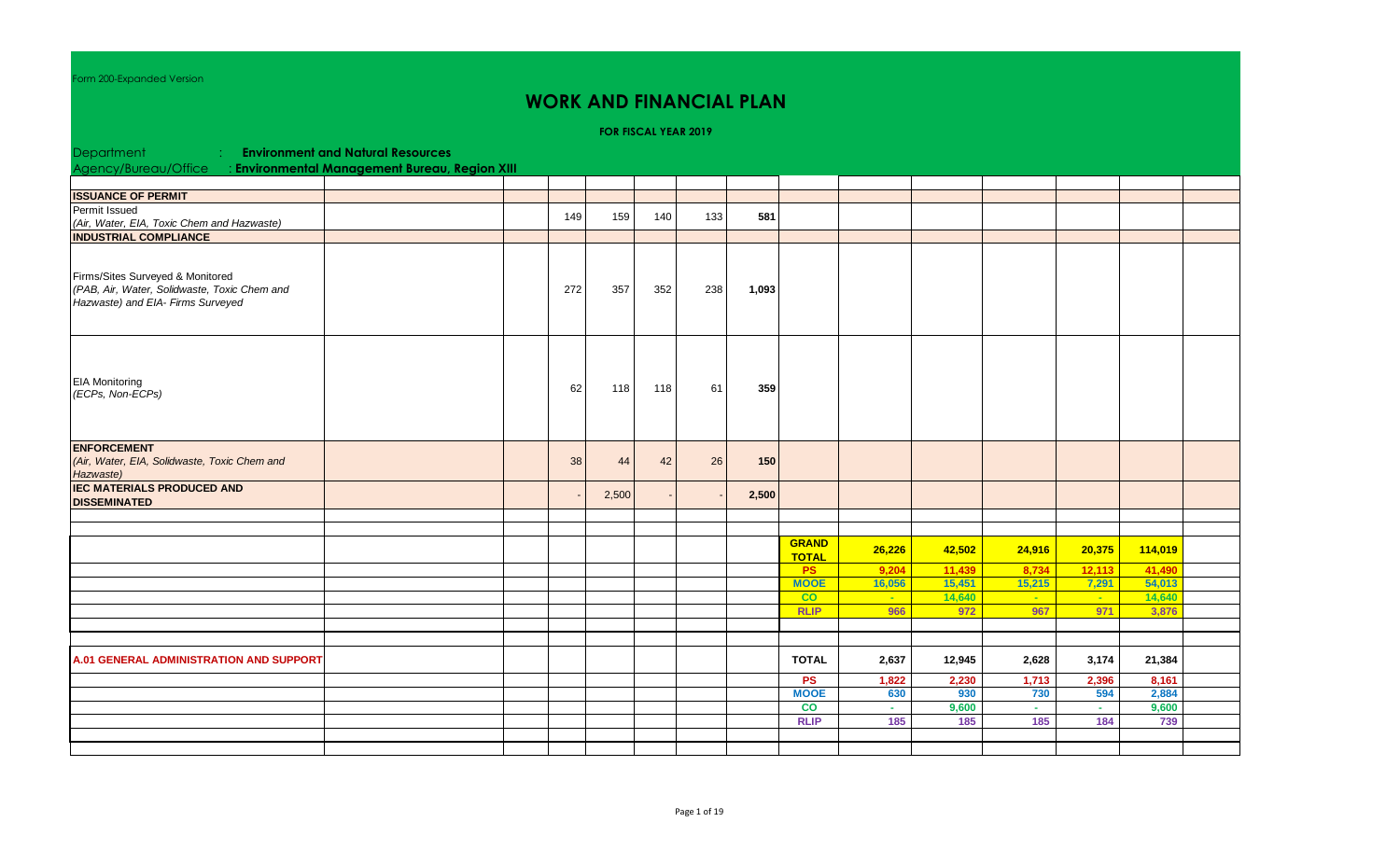orm 200-Expanded Version

## **WORK AND FINANCIAL PLAN**

**FOR FISCAL YEAR 2019**

| Department                                                                                                            | <b>Environment and Natural Resources</b> |     |       |     |     |       |                              |                              |        |             |            |         |  |
|-----------------------------------------------------------------------------------------------------------------------|------------------------------------------|-----|-------|-----|-----|-------|------------------------------|------------------------------|--------|-------------|------------|---------|--|
| Agency/Bureau/Office : Environmental Management Bureau, Region XIII                                                   |                                          |     |       |     |     |       |                              |                              |        |             |            |         |  |
|                                                                                                                       |                                          |     |       |     |     |       |                              |                              |        |             |            |         |  |
| <b>ISSUANCE OF PERMIT</b>                                                                                             |                                          |     |       |     |     |       |                              |                              |        |             |            |         |  |
| Permit Issued                                                                                                         |                                          | 149 | 159   | 140 | 133 | 581   |                              |                              |        |             |            |         |  |
| (Air, Water, EIA, Toxic Chem and Hazwaste)                                                                            |                                          |     |       |     |     |       |                              |                              |        |             |            |         |  |
| <b>INDUSTRIAL COMPLIANCE</b>                                                                                          |                                          |     |       |     |     |       |                              |                              |        |             |            |         |  |
| Firms/Sites Surveyed & Monitored<br>(PAB, Air, Water, Solidwaste, Toxic Chem and<br>Hazwaste) and EIA- Firms Surveyed |                                          | 272 | 357   | 352 | 238 | 1,093 |                              |                              |        |             |            |         |  |
| <b>EIA Monitoring</b><br>(ECPs, Non-ECPs)                                                                             |                                          | 62  | 118   | 118 | 61  | 359   |                              |                              |        |             |            |         |  |
| <b>ENFORCEMENT</b><br>(Air, Water, EIA, Solidwaste, Toxic Chem and<br>Hazwaste)                                       |                                          | 38  | 44    | 42  | 26  | 150   |                              |                              |        |             |            |         |  |
| <b>IEC MATERIALS PRODUCED AND</b><br><b>DISSEMINATED</b>                                                              |                                          |     | 2,500 |     |     | 2,500 |                              |                              |        |             |            |         |  |
|                                                                                                                       |                                          |     |       |     |     |       |                              |                              |        |             |            |         |  |
|                                                                                                                       |                                          |     |       |     |     |       |                              |                              |        |             |            |         |  |
|                                                                                                                       |                                          |     |       |     |     |       | <b>GRAND</b><br><b>TOTAL</b> | 26,226                       | 42,502 | 24,916      | 20,375     | 114,019 |  |
|                                                                                                                       |                                          |     |       |     |     |       | <b>PS</b>                    | 9,204                        | 11,439 | 8,734       | 12,113     | 41,490  |  |
|                                                                                                                       |                                          |     |       |     |     |       | <b>MOOE</b>                  | 16,056                       | 15,451 | 15,215      | 7,291      | 54,013  |  |
|                                                                                                                       |                                          |     |       |     |     |       | CO                           | $\mathcal{L}_{\mathrm{max}}$ | 14,640 | <b>Card</b> | $\sim$ $-$ | 14,640  |  |
|                                                                                                                       |                                          |     |       |     |     |       | <b>RLIP</b>                  | 966                          | 972    | 967         | 971        | 3,876   |  |
|                                                                                                                       |                                          |     |       |     |     |       |                              |                              |        |             |            |         |  |
|                                                                                                                       |                                          |     |       |     |     |       |                              |                              |        |             |            |         |  |
| <b>A.01 GENERAL ADMINISTRATION AND SUPPORT</b>                                                                        |                                          |     |       |     |     |       | <b>TOTAL</b>                 | 2,637                        | 12,945 | 2,628       | 3,174      | 21,384  |  |
|                                                                                                                       |                                          |     |       |     |     |       | PS                           | 1,822                        | 2,230  | 1,713       | 2,396      | 8,161   |  |
|                                                                                                                       |                                          |     |       |     |     |       | <b>MOOE</b>                  | 630                          | 930    | 730         | 594        | 2,884   |  |
|                                                                                                                       |                                          |     |       |     |     |       | $\overline{c}$               | A.                           | 9,600  | A.          | $\sim$     | 9,600   |  |
|                                                                                                                       |                                          |     |       |     |     |       | <b>RLIP</b>                  | 185                          | 185    | 185         | 184        | 739     |  |
|                                                                                                                       |                                          |     |       |     |     |       |                              |                              |        |             |            |         |  |
|                                                                                                                       |                                          |     |       |     |     |       |                              |                              |        |             |            |         |  |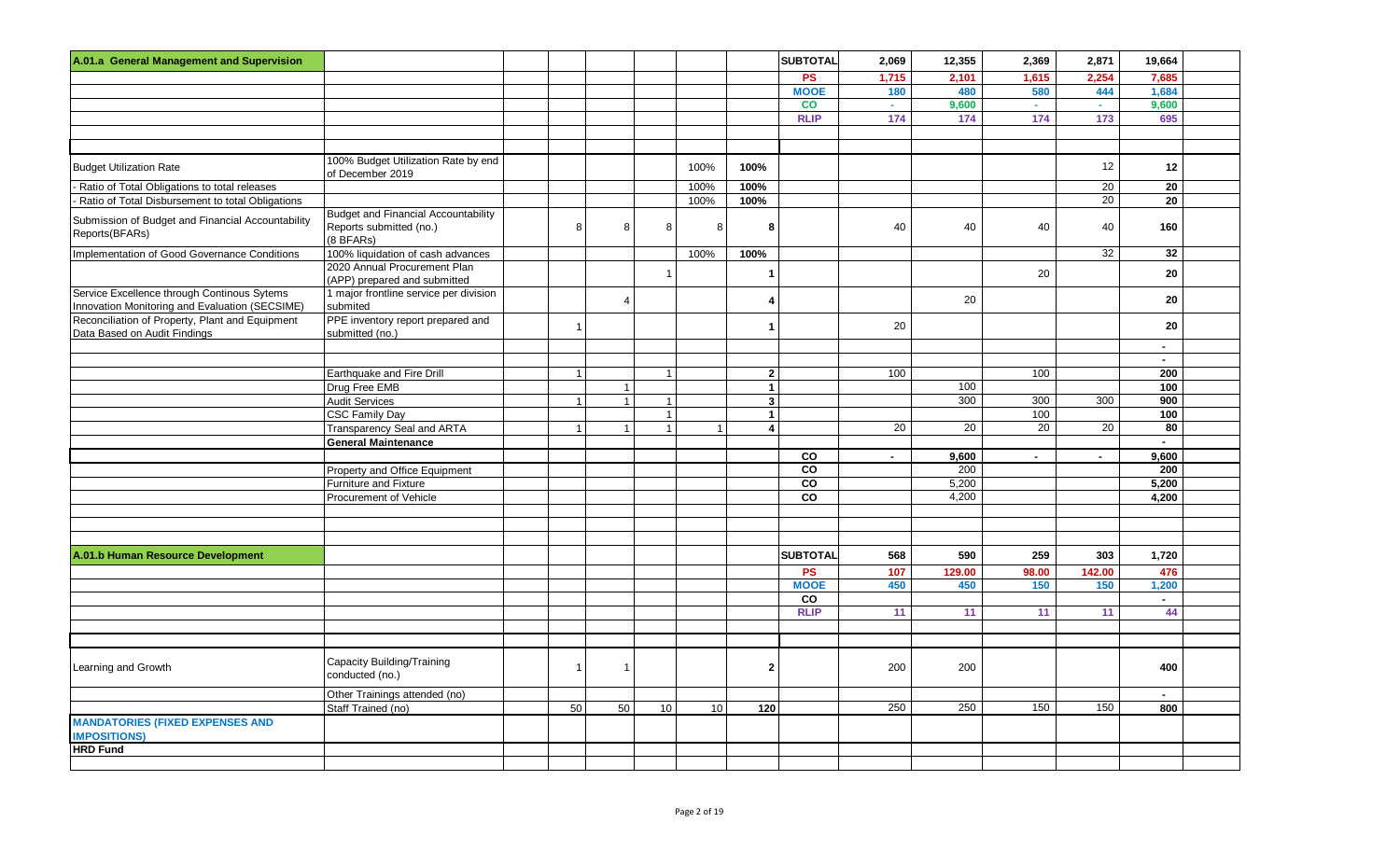| A.01.a General Management and Supervision                                                     |                                                                                    |                |                |              |              |                | <b>SUBTOTAL</b>                   | 2,069  | 12,355       | 2,369  | 2,871           | 19,664       |  |
|-----------------------------------------------------------------------------------------------|------------------------------------------------------------------------------------|----------------|----------------|--------------|--------------|----------------|-----------------------------------|--------|--------------|--------|-----------------|--------------|--|
|                                                                                               |                                                                                    |                |                |              |              |                | <b>PS</b>                         | 1,715  | 2,101        | 1,615  | 2,254           | 7,685        |  |
|                                                                                               |                                                                                    |                |                |              |              |                | <b>MOOE</b>                       | 180    | 480          | 580    | 444             | 1,684        |  |
|                                                                                               |                                                                                    |                |                |              |              |                | co                                | ц,     | 9,600        | ä.     | a.              | 9,600        |  |
|                                                                                               |                                                                                    |                |                |              |              |                | <b>RLIP</b>                       | 174    | 174          | 174    | 173             | 695          |  |
|                                                                                               |                                                                                    |                |                |              |              |                |                                   |        |              |        |                 |              |  |
|                                                                                               |                                                                                    |                |                |              |              |                |                                   |        |              |        |                 |              |  |
| <b>Budget Utilization Rate</b>                                                                | 100% Budget Utilization Rate by end<br>of December 2019                            |                |                |              | 100%         | 100%           |                                   |        |              |        | 12              | 12           |  |
| Ratio of Total Obligations to total releases                                                  |                                                                                    |                |                |              | 100%         | 100%           |                                   |        |              |        | 20              | 20           |  |
| Ratio of Total Disbursement to total Obligations                                              |                                                                                    |                |                |              | 100%         | 100%           |                                   |        |              |        | $\overline{20}$ | 20           |  |
| Submission of Budget and Financial Accountability<br>Reports(BFARs)                           | <b>Budget and Financial Accountability</b><br>Reports submitted (no.)<br>(8 BFARs) | 8              | 8              | 8            | 8            | 8              |                                   | 40     | 40           | 40     | 40              | 160          |  |
| Implementation of Good Governance Conditions                                                  | 100% liquidation of cash advances                                                  |                |                |              | 100%         | 100%           |                                   |        |              |        | 32              | 32           |  |
|                                                                                               | 2020 Annual Procurement Plan<br>(APP) prepared and submitted                       |                |                |              |              | $\mathbf 1$    |                                   |        |              | 20     |                 | 20           |  |
| Service Excellence through Continous Sytems<br>Innovation Monitoring and Evaluation (SECSIME) | 1 major frontline service per division<br>submited                                 |                | $\overline{4}$ |              |              | 4              |                                   |        | 20           |        |                 | 20           |  |
| Reconciliation of Property, Plant and Equipment<br>Data Based on Audit Findings               | PPE inventory report prepared and<br>submitted (no.)                               | $\overline{1}$ |                |              |              | $\mathbf{1}$   |                                   | 20     |              |        |                 | 20           |  |
|                                                                                               |                                                                                    |                |                |              |              |                |                                   |        |              |        |                 | $\sim$       |  |
|                                                                                               |                                                                                    |                |                |              |              |                |                                   |        |              |        |                 | $\sim$       |  |
|                                                                                               | Earthquake and Fire Drill                                                          | $\overline{1}$ |                | $\mathbf{1}$ |              | 2 <sup>1</sup> |                                   | 100    |              | 100    |                 | 200          |  |
|                                                                                               | Drug Free EMB                                                                      |                | $\overline{1}$ |              |              | $\mathbf{1}$   |                                   |        | 100          |        |                 | 100          |  |
|                                                                                               | Audit Services                                                                     | $\overline{1}$ | $\overline{1}$ | $\mathbf{1}$ |              | $\mathbf{3}$   |                                   |        | 300          | 300    | 300             | 900          |  |
|                                                                                               | <b>CSC Family Day</b>                                                              |                |                | $\mathbf{1}$ |              | $\mathbf{1}$   |                                   |        |              | 100    |                 | 100          |  |
|                                                                                               | Transparency Seal and ARTA                                                         | $\overline{1}$ | $\mathbf{1}$   | $\mathbf{1}$ | $\mathbf{1}$ | $\overline{4}$ |                                   | 20     | 20           | 20     | 20              | 80           |  |
|                                                                                               | <b>General Maintenance</b>                                                         |                |                |              |              |                |                                   |        |              |        |                 | $\sim$       |  |
|                                                                                               |                                                                                    |                |                |              |              |                | CO<br><b>CO</b>                   | $\sim$ | 9,600        | $\sim$ | $\sim$          | 9,600<br>200 |  |
|                                                                                               | Property and Office Equipment<br>Furniture and Fixture                             |                |                |              |              |                | $\overline{c}$                    |        | 200<br>5,200 |        |                 | 5,200        |  |
|                                                                                               | Procurement of Vehicle                                                             |                |                |              |              |                | CO                                |        | 4,200        |        |                 | 4,200        |  |
|                                                                                               |                                                                                    |                |                |              |              |                |                                   |        |              |        |                 |              |  |
|                                                                                               |                                                                                    |                |                |              |              |                |                                   |        |              |        |                 |              |  |
|                                                                                               |                                                                                    |                |                |              |              |                |                                   |        |              |        |                 |              |  |
| A.01.b Human Resource Development                                                             |                                                                                    |                |                |              |              |                | <b>SUBTOTAL</b>                   | 568    | 590          | 259    | 303             | 1,720        |  |
|                                                                                               |                                                                                    |                |                |              |              |                | <b>PS</b>                         | 107    | 129.00       | 98.00  | 142.00          | 476          |  |
|                                                                                               |                                                                                    |                |                |              |              |                | <b>MOOE</b>                       | 450    | 450          | 150    | 150             | 1,200        |  |
|                                                                                               |                                                                                    |                |                |              |              |                | $\overline{\overline{\text{co}}}$ |        |              |        |                 | $\mathbf{r}$ |  |
|                                                                                               |                                                                                    |                |                |              |              |                | <b>RLIP</b>                       | 11     | 11           | 11     | 11              | 44           |  |
|                                                                                               |                                                                                    |                |                |              |              |                |                                   |        |              |        |                 |              |  |
|                                                                                               |                                                                                    |                |                |              |              |                |                                   |        |              |        |                 |              |  |
| Learning and Growth                                                                           | Capacity Building/Training<br>conducted (no.)                                      | $\overline{1}$ | $\overline{1}$ |              |              | $\overline{2}$ |                                   | 200    | 200          |        |                 | 400          |  |
|                                                                                               | Other Trainings attended (no)                                                      |                |                |              |              |                |                                   |        |              |        |                 | $\sim$       |  |
|                                                                                               | Staff Trained (no)                                                                 | 50             | 50             | 10           | 10           | 120            |                                   | 250    | 250          | 150    | 150             | 800          |  |
| <b>MANDATORIES (FIXED EXPENSES AND</b><br><b>IMPOSITIONS)</b>                                 |                                                                                    |                |                |              |              |                |                                   |        |              |        |                 |              |  |
| <b>HRD Fund</b>                                                                               |                                                                                    |                |                |              |              |                |                                   |        |              |        |                 |              |  |
|                                                                                               |                                                                                    |                |                |              |              |                |                                   |        |              |        |                 |              |  |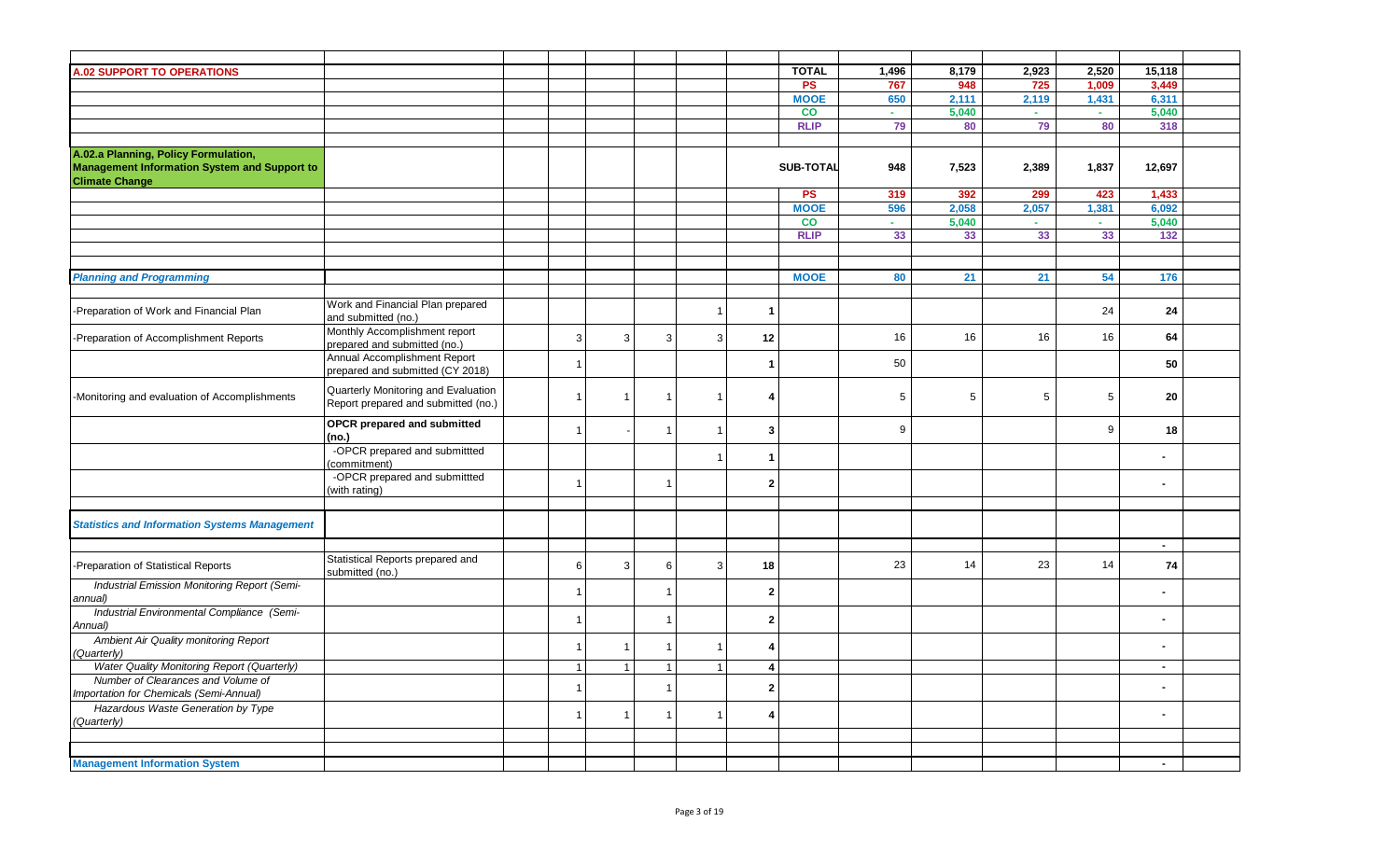| <b>A.02 SUPPORT TO OPERATIONS</b>                                                                                    |                                                                            |                                  |                |                      |                      | <b>TOTAL</b>     | 1,496                       | 8,179 | 2,923           | 2,520                        | 15,118       |  |
|----------------------------------------------------------------------------------------------------------------------|----------------------------------------------------------------------------|----------------------------------|----------------|----------------------|----------------------|------------------|-----------------------------|-------|-----------------|------------------------------|--------------|--|
|                                                                                                                      |                                                                            |                                  |                |                      |                      | <b>PS</b>        | 767                         | 948   | 725             | 1,009                        | 3.449        |  |
|                                                                                                                      |                                                                            |                                  |                |                      |                      | <b>MOOE</b>      | 650                         | 2,111 | 2,119           | 1,431                        | 6,311        |  |
|                                                                                                                      |                                                                            |                                  |                |                      |                      | <b>CO</b>        | A.                          | 5.040 | $\sim$          | $\mathcal{L}_{\mathrm{eff}}$ | 5.040        |  |
|                                                                                                                      |                                                                            |                                  |                |                      |                      | <b>RLIP</b>      | 79                          | 80    | 79              | 80                           | 318          |  |
|                                                                                                                      |                                                                            |                                  |                |                      |                      |                  |                             |       |                 |                              |              |  |
| A.02.a Planning, Policy Formulation,<br><b>Management Information System and Support to</b><br><b>Climate Change</b> |                                                                            |                                  |                |                      |                      | <b>SUB-TOTAL</b> | 948                         | 7,523 | 2,389           | 1,837                        | 12,697       |  |
|                                                                                                                      |                                                                            |                                  |                |                      |                      | <b>PS</b>        | 319                         | 392   | 299             | 423                          | 1,433        |  |
|                                                                                                                      |                                                                            |                                  |                |                      |                      | <b>MOOE</b>      | 596                         | 2,058 | 2,057           | 1,381                        | 6,092        |  |
|                                                                                                                      |                                                                            |                                  |                |                      |                      | <b>CO</b>        | $\mathcal{L}_{\mathcal{A}}$ | 5,040 | a.              | $\sim$                       | 5,040        |  |
|                                                                                                                      |                                                                            |                                  |                |                      |                      | <b>RLIP</b>      | 33                          | 33    | 33              | 33                           | 132          |  |
|                                                                                                                      |                                                                            |                                  |                |                      |                      |                  |                             |       |                 |                              |              |  |
|                                                                                                                      |                                                                            |                                  |                |                      |                      |                  |                             |       |                 |                              |              |  |
| <b>Planning and Programming</b>                                                                                      |                                                                            |                                  |                |                      |                      | <b>MOOE</b>      | 80                          | 21    | 21              | 54                           | 176          |  |
|                                                                                                                      |                                                                            |                                  |                |                      |                      |                  |                             |       |                 |                              |              |  |
| Preparation of Work and Financial Plan                                                                               | Work and Financial Plan prepared<br>and submitted (no.)                    |                                  |                | $\mathbf{1}$         | -1                   |                  |                             |       |                 | 24                           | 24           |  |
| -Preparation of Accomplishment Reports                                                                               | Monthly Accomplishment report<br>prepared and submitted (no.)              | 3<br>3                           | 3              | 3                    | 12                   |                  | 16                          | 16    | 16              | 16                           | 64           |  |
|                                                                                                                      | Annual Accomplishment Report<br>prepared and submitted (CY 2018)           | $\overline{1}$                   |                |                      | -1                   |                  | 50                          |       |                 |                              | 50           |  |
| -Monitoring and evaluation of Accomplishments                                                                        | Quarterly Monitoring and Evaluation<br>Report prepared and submitted (no.) | $\mathbf{1}$<br>$\overline{1}$   | $\overline{1}$ | $\mathbf{1}$         | 4                    |                  | 5                           | 5     | $5\overline{)}$ | 5                            | 20           |  |
|                                                                                                                      | <b>OPCR</b> prepared and submitted<br>no.)                                 | $\overline{1}$                   |                | $\overline{1}$       | 3                    |                  | 9                           |       |                 | 9                            | 18           |  |
|                                                                                                                      | -OPCR prepared and submittted<br>commitment)                               |                                  |                | $\blacktriangleleft$ | $\blacktriangleleft$ |                  |                             |       |                 |                              |              |  |
|                                                                                                                      | -OPCR prepared and submittted<br>(with rating)                             | $\overline{1}$                   | f              |                      | $\mathbf{2}$         |                  |                             |       |                 |                              |              |  |
| <b>Statistics and Information Systems Management</b>                                                                 |                                                                            |                                  |                |                      |                      |                  |                             |       |                 |                              |              |  |
|                                                                                                                      |                                                                            |                                  |                |                      |                      |                  |                             |       |                 |                              |              |  |
| -Preparation of Statistical Reports                                                                                  | Statistical Reports prepared and<br>submitted (no.)                        | $\sqrt{3}$<br>6                  | 6              | $\mathbf{3}$         | 18                   |                  | 23                          | 14    | 23              | 14                           | $\sim$<br>74 |  |
| Industrial Emission Monitoring Report (Semi-<br>annual)                                                              |                                                                            | $\overline{\mathbf{1}}$          |                |                      | $\mathbf{2}$         |                  |                             |       |                 |                              |              |  |
| Industrial Environmental Compliance (Semi-<br>Annual)                                                                |                                                                            | $\overline{1}$                   | $\overline{1}$ |                      | $\mathbf{2}$         |                  |                             |       |                 |                              |              |  |
| Ambient Air Quality monitoring Report<br>(Quarterly)                                                                 |                                                                            | $\overline{1}$<br>$\overline{1}$ |                | $\mathbf{1}$         | 4                    |                  |                             |       |                 |                              |              |  |
| Water Quality Monitoring Report (Quarterly)                                                                          |                                                                            | $\overline{1}$<br>$\overline{1}$ | $\overline{1}$ | $\overline{1}$       | 4                    |                  |                             |       |                 |                              | $\sim$       |  |
| Number of Clearances and Volume of                                                                                   |                                                                            |                                  |                |                      |                      |                  |                             |       |                 |                              |              |  |
| Importation for Chemicals (Semi-Annual)                                                                              |                                                                            | $\overline{1}$                   | ٠              |                      | $\mathbf{2}$         |                  |                             |       |                 |                              |              |  |
| Hazardous Waste Generation by Type                                                                                   |                                                                            |                                  |                |                      |                      |                  |                             |       |                 |                              |              |  |
| (Quarterly)                                                                                                          |                                                                            | $\overline{1}$<br>$\overline{1}$ |                | $\overline{1}$       | 4                    |                  |                             |       |                 |                              | ٠            |  |
|                                                                                                                      |                                                                            |                                  |                |                      |                      |                  |                             |       |                 |                              |              |  |
|                                                                                                                      |                                                                            |                                  |                |                      |                      |                  |                             |       |                 |                              |              |  |
| <b>Management Information System</b>                                                                                 |                                                                            |                                  |                |                      |                      |                  |                             |       |                 |                              | $\sim$       |  |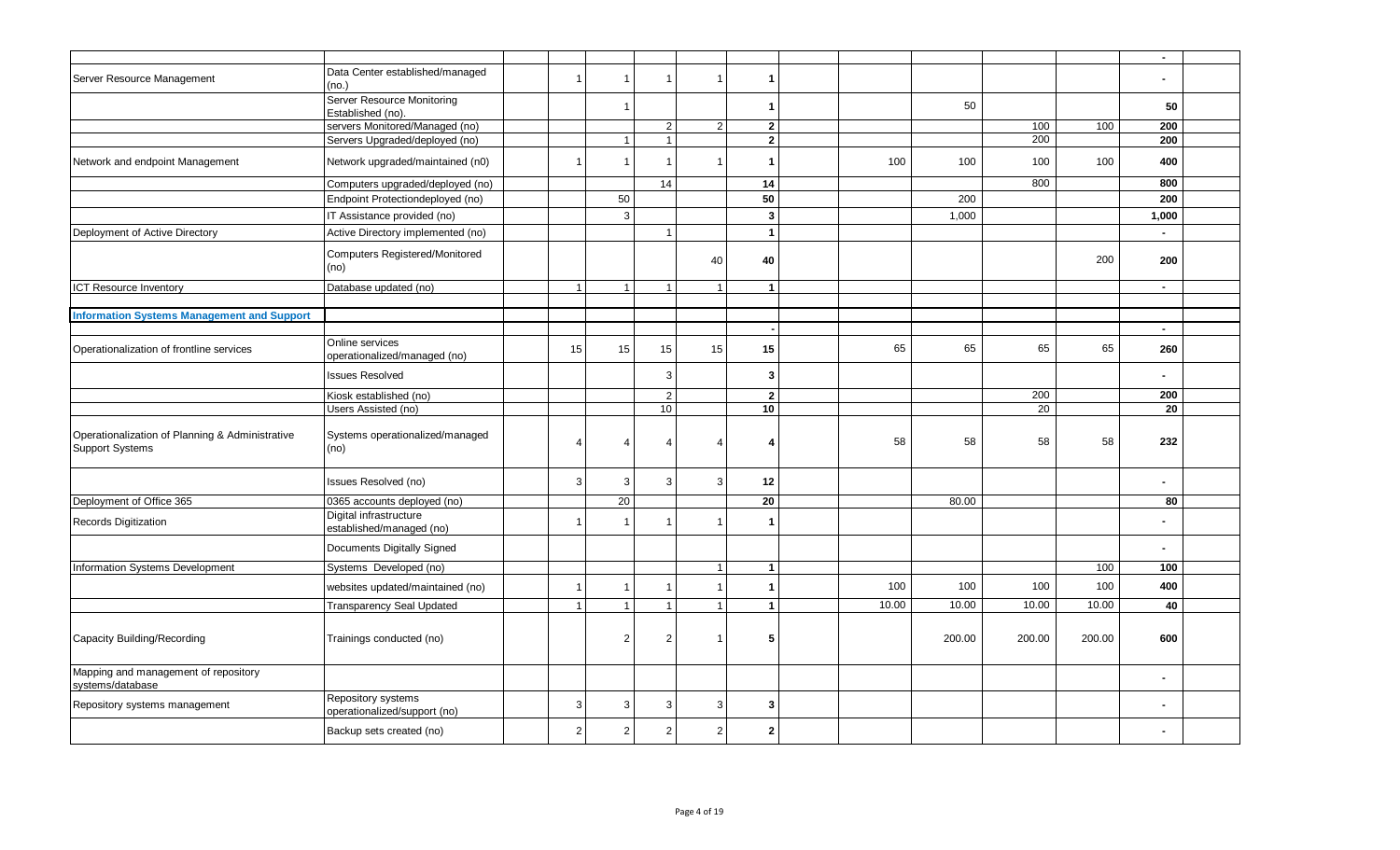|                                                                           |                                                    |                |                         |                |                |                         |       |        |                 |        | $\sim$ |  |
|---------------------------------------------------------------------------|----------------------------------------------------|----------------|-------------------------|----------------|----------------|-------------------------|-------|--------|-----------------|--------|--------|--|
| Server Resource Management                                                | Data Center established/managed<br>(no.)           | $\overline{1}$ |                         |                | $\overline{1}$ | -1                      |       |        |                 |        |        |  |
|                                                                           | Server Resource Monitoring                         |                |                         |                |                |                         |       |        |                 |        |        |  |
|                                                                           | Established (no).                                  |                |                         |                |                | -1                      |       | 50     |                 |        | 50     |  |
|                                                                           | servers Monitored/Managed (no)                     |                |                         | $\overline{2}$ | 2              | $\mathbf{2}$            |       |        | 100             | 100    | 200    |  |
|                                                                           | Servers Upgraded/deployed (no)                     |                |                         | $\mathbf{1}$   |                | $\mathbf{2}$            |       |        | 200             |        | 200    |  |
| Network and endpoint Management                                           | Network upgraded/maintained (n0)                   | $\overline{1}$ | $\overline{\mathbf{1}}$ | $\mathbf{1}$   | $\mathbf{1}$   | ×                       | 100   | 100    | 100             | 100    | 400    |  |
|                                                                           | Computers upgraded/deployed (no)                   |                |                         | 14             |                | 14                      |       |        | 800             |        | 800    |  |
|                                                                           | Endpoint Protectiondeployed (no)                   |                | 50                      |                |                | 50                      |       | 200    |                 |        | 200    |  |
|                                                                           | IT Assistance provided (no)                        |                | 3                       |                |                | $\overline{\mathbf{3}}$ |       | 1,000  |                 |        | 1,000  |  |
| Deployment of Active Directory                                            | Active Directory implemented (no)                  |                |                         | $\overline{1}$ |                | $\blacktriangleleft$    |       |        |                 |        |        |  |
|                                                                           | Computers Registered/Monitored<br>(no)             |                |                         |                | 40             | 40                      |       |        |                 | 200    | 200    |  |
| <b>ICT Resource Inventory</b>                                             | Database updated (no)                              | $\overline{1}$ | $\overline{1}$          | $\overline{1}$ | $\overline{1}$ | $\overline{1}$          |       |        |                 |        | $\sim$ |  |
|                                                                           |                                                    |                |                         |                |                |                         |       |        |                 |        |        |  |
| <b>Information Systems Management and Support</b>                         |                                                    |                |                         |                |                |                         |       |        |                 |        |        |  |
|                                                                           |                                                    |                |                         |                |                |                         |       |        |                 |        | $\sim$ |  |
| Operationalization of frontline services                                  | Online services<br>operationalized/managed (no)    | 15             | 15                      | 15             | 15             | 15                      | 65    | 65     | 65              | 65     | 260    |  |
|                                                                           | <b>Issues Resolved</b>                             |                |                         | 3              |                | 3                       |       |        |                 |        |        |  |
|                                                                           | Kiosk established (no)                             |                |                         | $\overline{2}$ |                | $\overline{2}$          |       |        | 200             |        | 200    |  |
|                                                                           | Users Assisted (no)                                |                |                         | 10             |                | 10 <sup>°</sup>         |       |        | $\overline{20}$ |        | 20     |  |
| Operationalization of Planning & Administrative<br><b>Support Systems</b> | Systems operationalized/managed<br>(no)            | $\overline{4}$ | $\overline{4}$          | 4              | $\overline{4}$ |                         | 58    | 58     | 58              | 58     | 232    |  |
|                                                                           | Issues Resolved (no)                               | 3              | 3                       | 3              | 3              | 12                      |       |        |                 |        |        |  |
| Deployment of Office 365                                                  | 0365 accounts deployed (no)                        |                | $\overline{20}$         |                |                | 20                      |       | 80.00  |                 |        | 80     |  |
| Records Digitization                                                      | Digital infrastructure<br>established/managed (no) | $\overline{1}$ | $\overline{\mathbf{1}}$ |                | $\mathbf{1}$   | $\mathbf{1}$            |       |        |                 |        |        |  |
|                                                                           | Documents Digitally Signed                         |                |                         |                |                |                         |       |        |                 |        |        |  |
| Information Systems Development                                           | Systems Developed (no)                             |                |                         |                | $\mathbf{1}$   | $\overline{1}$          |       |        |                 | 100    | 100    |  |
|                                                                           | websites updated/maintained (no)                   | $\overline{1}$ |                         |                | $\overline{1}$ | $\blacktriangleleft$    | 100   | 100    | 100             | 100    | 400    |  |
|                                                                           | <b>Transparency Seal Updated</b>                   | $\overline{1}$ | $\overline{1}$          | $\mathbf{1}$   | $\overline{1}$ | $\blacktriangleleft$    | 10.00 | 10.00  | 10.00           | 10.00  | 40     |  |
| Capacity Building/Recording                                               | Trainings conducted (no)                           |                | $\overline{2}$          | 2              | $\mathbf{1}$   | 5                       |       | 200.00 | 200.00          | 200.00 | 600    |  |
| Mapping and management of repository<br>systems/database                  |                                                    |                |                         |                |                |                         |       |        |                 |        |        |  |
| Repository systems management                                             | Repository systems<br>operationalized/support (no) | 3              | 3                       | 3              | 3              | 3                       |       |        |                 |        |        |  |
|                                                                           | Backup sets created (no)                           | 2              | $\overline{2}$          | $\overline{2}$ | 2              | $\overline{2}$          |       |        |                 |        |        |  |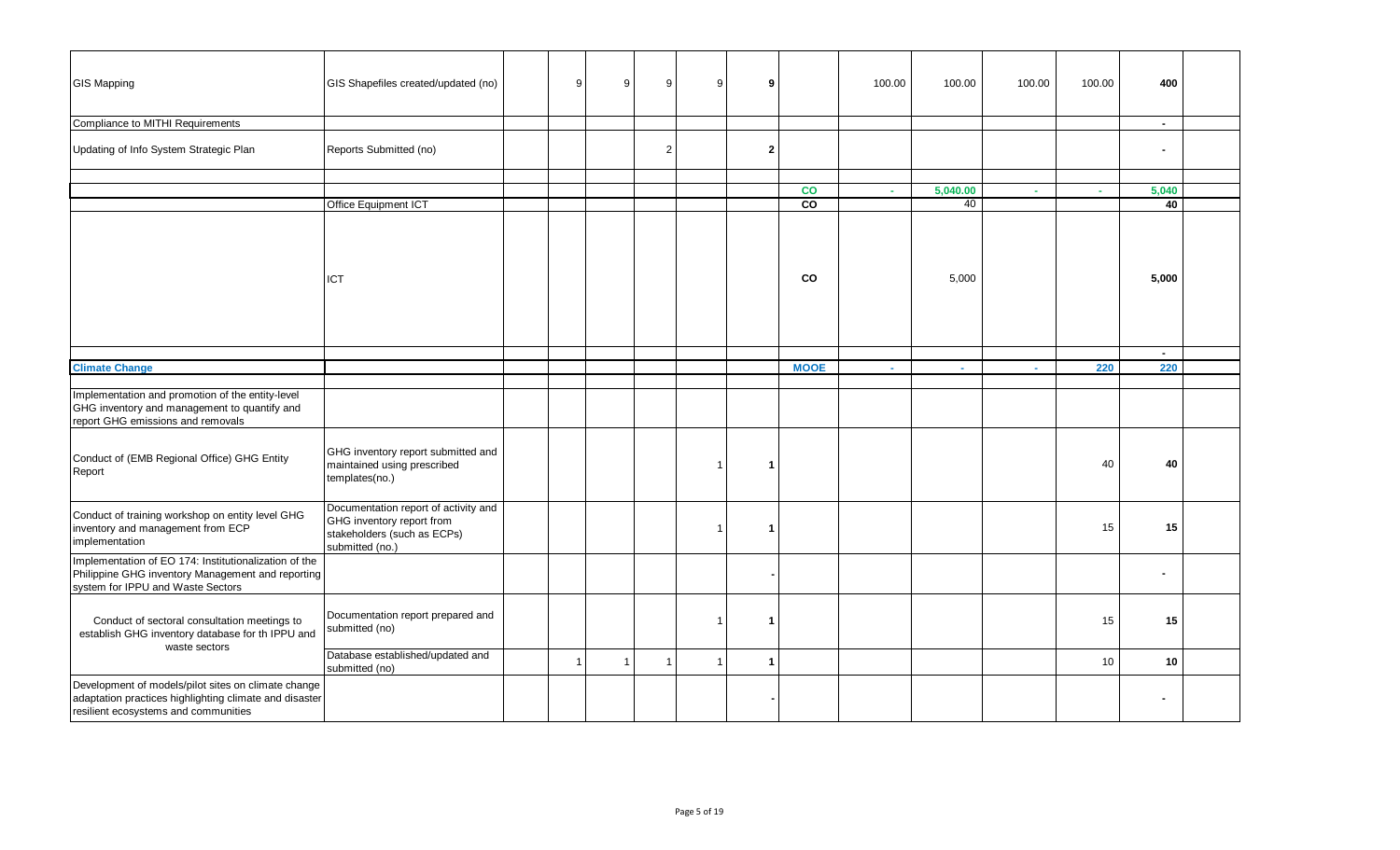| <b>GIS Mapping</b>                                                                                                                                    | GIS Shapefiles created/updated (no)                                                                                 | 9              | 9              | 9              | 9              | 9              |             | 100.00 | 100.00   | 100.00 | 100.00 | 400            |  |
|-------------------------------------------------------------------------------------------------------------------------------------------------------|---------------------------------------------------------------------------------------------------------------------|----------------|----------------|----------------|----------------|----------------|-------------|--------|----------|--------|--------|----------------|--|
| Compliance to MITHI Requirements                                                                                                                      |                                                                                                                     |                |                |                |                |                |             |        |          |        |        | $\sim$         |  |
| Updating of Info System Strategic Plan                                                                                                                | Reports Submitted (no)                                                                                              |                |                | 2              |                | $\overline{2}$ |             |        |          |        |        |                |  |
|                                                                                                                                                       |                                                                                                                     |                |                |                |                |                |             |        |          |        |        |                |  |
|                                                                                                                                                       |                                                                                                                     |                |                |                |                |                | co<br>CO    | a.     | 5,040.00 | A.     | A.     | 5,040          |  |
|                                                                                                                                                       | Office Equipment ICT                                                                                                |                |                |                |                |                |             |        | 40       |        |        | 40             |  |
|                                                                                                                                                       | ICT                                                                                                                 |                |                |                |                |                | co          |        | 5,000    |        |        | 5,000          |  |
|                                                                                                                                                       |                                                                                                                     |                |                |                |                |                |             |        |          |        |        | $\sim$         |  |
| <b>Climate Change</b>                                                                                                                                 |                                                                                                                     |                |                |                |                |                | <b>MOOE</b> |        |          |        | 220    | 220            |  |
| Implementation and promotion of the entity-level<br>GHG inventory and management to quantify and<br>report GHG emissions and removals                 |                                                                                                                     |                |                |                |                |                |             |        |          |        |        |                |  |
| Conduct of (EMB Regional Office) GHG Entity<br>Report                                                                                                 | GHG inventory report submitted and<br>maintained using prescribed<br>templates(no.)                                 |                |                |                | $\overline{1}$ | -1             |             |        |          |        | 40     | 40             |  |
| Conduct of training workshop on entity level GHG<br>inventory and management from ECP<br>implementation                                               | Documentation report of activity and<br>GHG inventory report from<br>stakeholders (such as ECPs)<br>submitted (no.) |                |                |                | $\mathbf{1}$   | L.             |             |        |          |        | 15     | 15             |  |
| Implementation of EO 174: Institutionalization of the<br>Philippine GHG inventory Management and reporting<br>system for IPPU and Waste Sectors       |                                                                                                                     |                |                |                |                |                |             |        |          |        |        |                |  |
| Conduct of sectoral consultation meetings to<br>establish GHG inventory database for th IPPU and<br>waste sectors                                     | Documentation report prepared and<br>submitted (no)                                                                 |                |                |                | $\overline{1}$ | -1             |             |        |          |        | 15     | 15             |  |
|                                                                                                                                                       | Database established/updated and<br>submitted (no)                                                                  | $\overline{1}$ | $\overline{1}$ | $\overline{1}$ | $\overline{1}$ | $\mathbf{1}$   |             |        |          |        | 10     | 10             |  |
| Development of models/pilot sites on climate change<br>adaptation practices highlighting climate and disaster<br>resilient ecosystems and communities |                                                                                                                     |                |                |                |                |                |             |        |          |        |        | $\blacksquare$ |  |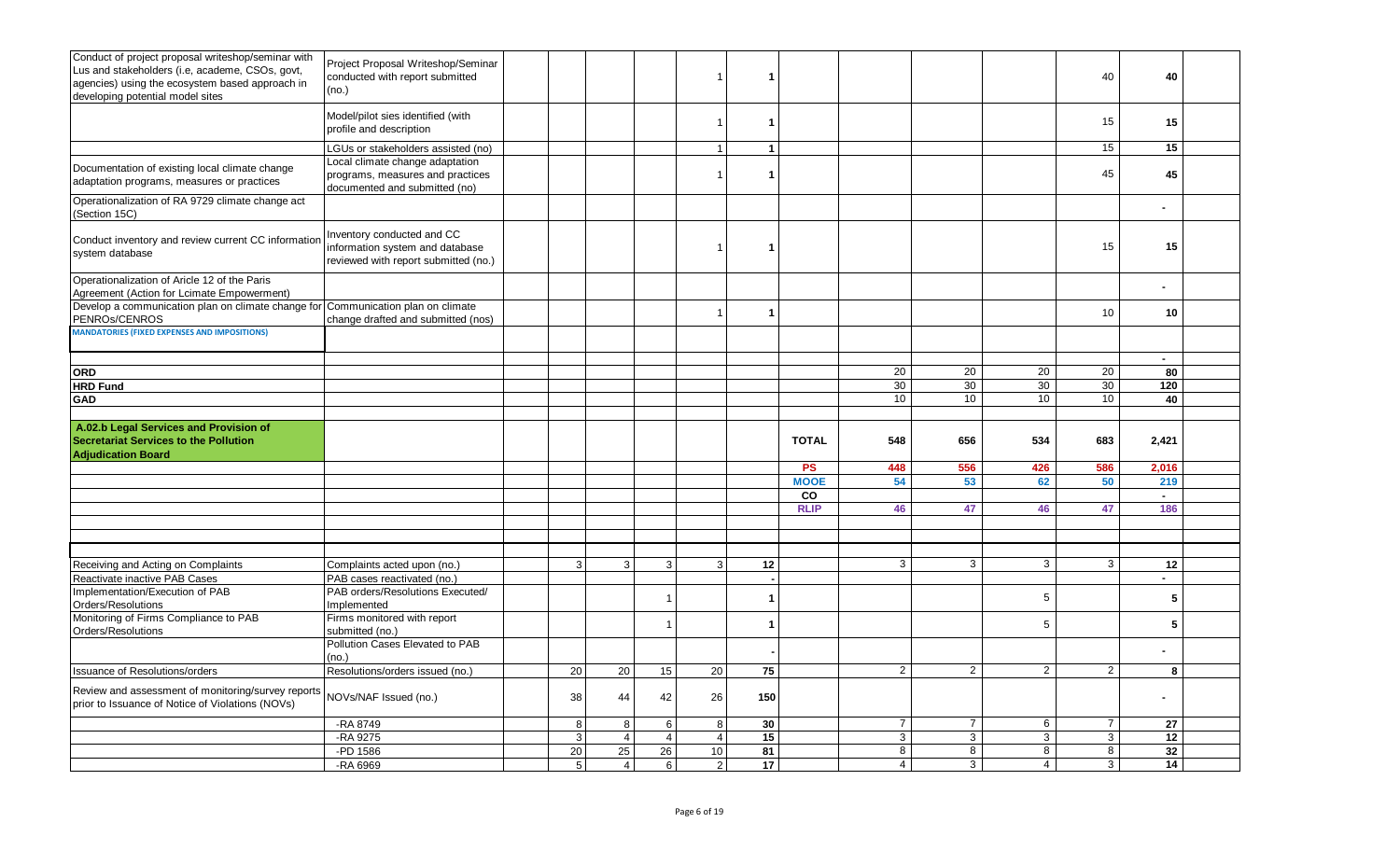| Conduct of project proposal writeshop/seminar with<br>Lus and stakeholders (i.e, academe, CSOs, govt,<br>agencies) using the ecosystem based approach in<br>developing potential model sites | Project Proposal Writeshop/Seminar<br>conducted with report submitted<br>(no.)                                                             |                           |                |                | $\mathbf 1$                          | -1                   |                   |                |                |                 | 40             | 40            |  |
|----------------------------------------------------------------------------------------------------------------------------------------------------------------------------------------------|--------------------------------------------------------------------------------------------------------------------------------------------|---------------------------|----------------|----------------|--------------------------------------|----------------------|-------------------|----------------|----------------|-----------------|----------------|---------------|--|
|                                                                                                                                                                                              | Model/pilot sies identified (with<br>profile and description                                                                               |                           |                |                | $\mathbf{1}$                         | -1                   |                   |                |                |                 | 15             | 15            |  |
| Documentation of existing local climate change<br>adaptation programs, measures or practices                                                                                                 | LGUs or stakeholders assisted (no)<br>Local climate change adaptation<br>programs, measures and practices<br>documented and submitted (no) |                           |                |                | $\blacktriangleleft$<br>$\mathbf{1}$ | $\mathbf{1}$<br>-1   |                   |                |                |                 | 15<br>45       | 15<br>45      |  |
| Operationalization of RA 9729 climate change act<br>(Section 15C)                                                                                                                            |                                                                                                                                            |                           |                |                |                                      |                      |                   |                |                |                 |                |               |  |
| Conduct inventory and review current CC information<br>system database                                                                                                                       | Inventory conducted and CC<br>information system and database<br>reviewed with report submitted (no.)                                      |                           |                |                | -1                                   | -1                   |                   |                |                |                 | 15             | 15            |  |
| Operationalization of Aricle 12 of the Paris<br>Agreement (Action for Lcimate Empowerment)                                                                                                   |                                                                                                                                            |                           |                |                |                                      |                      |                   |                |                |                 |                |               |  |
| Develop a communication plan on climate change for<br>PENROS/CENROS                                                                                                                          | Communication plan on climate<br>change drafted and submitted (nos)                                                                        |                           |                |                | $\overline{1}$                       | $\blacktriangleleft$ |                   |                |                |                 | 10             | 10            |  |
| <b>MANDATORIES (FIXED EXPENSES AND IMPOSITIONS)</b>                                                                                                                                          |                                                                                                                                            |                           |                |                |                                      |                      |                   |                |                |                 |                |               |  |
| <b>ORD</b><br><b>HRD Fund</b>                                                                                                                                                                |                                                                                                                                            |                           |                |                |                                      |                      |                   | 20<br>30       | 20<br>30       | 20<br>30        | 20<br>30       | 80<br>120     |  |
| GAD                                                                                                                                                                                          |                                                                                                                                            |                           |                |                |                                      |                      |                   | 10             | 10             | 10              | 10             | 40            |  |
| A.02.b Legal Services and Provision of<br><b>Secretariat Services to the Pollution</b><br><b>Adiudication Board</b>                                                                          |                                                                                                                                            |                           |                |                |                                      |                      | <b>TOTAL</b>      | 548            | 656            | 534             | 683            | 2,421         |  |
|                                                                                                                                                                                              |                                                                                                                                            |                           |                |                |                                      |                      | <b>PS</b>         | 448            | 556            | 426             | 586            | 2,016         |  |
|                                                                                                                                                                                              |                                                                                                                                            |                           |                |                |                                      |                      | <b>MOOE</b>       | 54             | 53             | 62              | 50             | 219           |  |
|                                                                                                                                                                                              |                                                                                                                                            |                           |                |                |                                      |                      | co<br><b>RLIP</b> | 46             | 47             | 46              | 47             | $\sim$<br>186 |  |
|                                                                                                                                                                                              |                                                                                                                                            |                           |                |                |                                      |                      |                   |                |                |                 |                |               |  |
|                                                                                                                                                                                              |                                                                                                                                            |                           |                |                |                                      |                      |                   |                |                |                 |                |               |  |
| Receiving and Acting on Complaints                                                                                                                                                           | Complaints acted upon (no.)                                                                                                                | 3                         | 3              | 3              | 3                                    | 12                   |                   | 3              | 3              | 3               | 3              | 12            |  |
| Reactivate inactive PAB Cases                                                                                                                                                                | PAB cases reactivated (no.)                                                                                                                |                           |                |                |                                      |                      |                   |                |                |                 |                | $\sim$        |  |
| Implementation/Execution of PAB                                                                                                                                                              | PAB orders/Resolutions Executed/                                                                                                           |                           |                |                |                                      | -1                   |                   |                |                | $\overline{5}$  |                | ${\bf 5}$     |  |
| Orders/Resolutions                                                                                                                                                                           | Implemented                                                                                                                                |                           |                |                |                                      |                      |                   |                |                |                 |                |               |  |
| Monitoring of Firms Compliance to PAB<br>Orders/Resolutions                                                                                                                                  | Firms monitored with report<br>submitted (no.)                                                                                             |                           |                |                |                                      |                      |                   |                |                | $5\overline{)}$ |                | ${\bf 5}$     |  |
|                                                                                                                                                                                              | Pollution Cases Elevated to PAB<br>(no.)                                                                                                   |                           |                |                |                                      |                      |                   |                |                |                 |                |               |  |
| <b>Issuance of Resolutions/orders</b>                                                                                                                                                        | Resolutions/orders issued (no.)                                                                                                            | 20                        | 20             | 15             | 20                                   | 75                   |                   | $\overline{2}$ | $\overline{2}$ | $\overline{2}$  | $\overline{2}$ | 8             |  |
| Review and assessment of monitoring/survey reports<br>prior to Issuance of Notice of Violations (NOVs)                                                                                       | NOVs/NAF Issued (no.)                                                                                                                      | 38                        | 44             | 42             | 26                                   | 150                  |                   |                |                |                 |                |               |  |
|                                                                                                                                                                                              | -RA 8749                                                                                                                                   | $\bf 8$                   | 8              | 6              | $\bf 8$                              | 30                   |                   | $\overline{7}$ | $\overline{7}$ | 6               | $\overline{7}$ | 27            |  |
|                                                                                                                                                                                              | -RA 9275                                                                                                                                   | $\ensuremath{\mathsf{3}}$ | $\overline{4}$ | $\overline{4}$ | $\overline{4}$                       | 15                   |                   | $\mathbf{3}$   | 3              | 3               | $\overline{3}$ | 12            |  |
|                                                                                                                                                                                              | -PD 1586                                                                                                                                   | 20                        | 25             | 26             | 10                                   | 81                   |                   | $\overline{8}$ | $\overline{8}$ | $\infty$        | $\overline{8}$ | 32            |  |
|                                                                                                                                                                                              | -RA 6969                                                                                                                                   | $\overline{5}$            | $\overline{4}$ | 6 <sup>1</sup> | $\overline{2}$                       | 17                   |                   | $\overline{4}$ | $\mathbf{3}$   | $\overline{4}$  | 3              | 14            |  |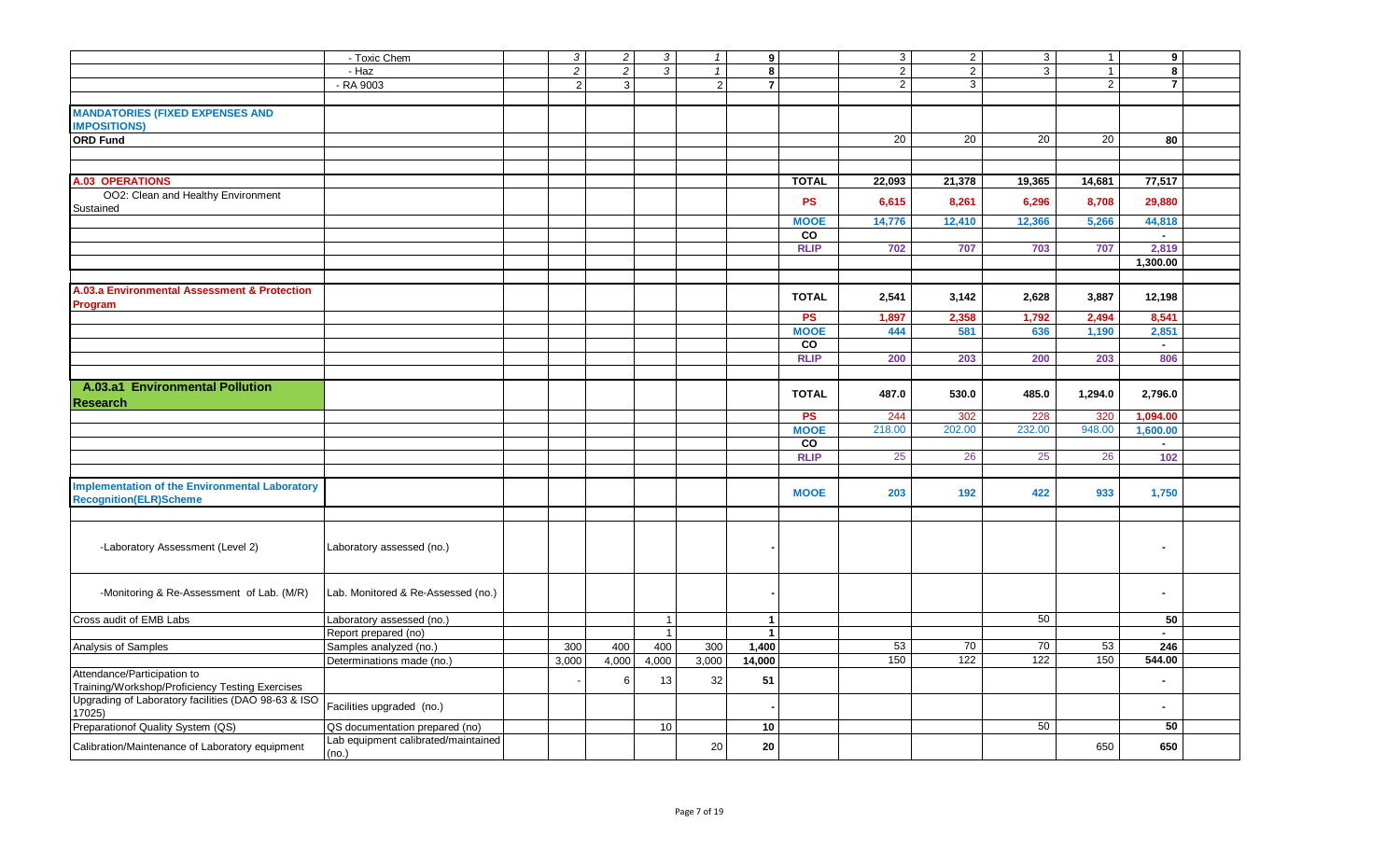|                                                                                        | - Toxic Chem                                 | $\mathbf{3}$   | $\overline{c}$ | $\mathbf{3}$   | $\mathbf{1}$ | 9                    |              | $\mathbf{3}$    | $\overline{2}$   | $\mathbf{3}$ | $\overline{1}$ | 9              |  |
|----------------------------------------------------------------------------------------|----------------------------------------------|----------------|----------------|----------------|--------------|----------------------|--------------|-----------------|------------------|--------------|----------------|----------------|--|
|                                                                                        | - Haz                                        | $\overline{2}$ | $\overline{2}$ | $\mathbf{3}$   | $\mathbf{1}$ | 8                    |              | $\overline{2}$  | $\overline{2}$   | $\mathbf{3}$ | $\mathbf{1}$   | 8              |  |
|                                                                                        | - RA 9003                                    | $\overline{2}$ | 3              |                | 2            | $\overline{7}$       |              | $\overline{2}$  | $\overline{3}$   |              | $\overline{2}$ | $\overline{7}$ |  |
|                                                                                        |                                              |                |                |                |              |                      |              |                 |                  |              |                |                |  |
| <b>MANDATORIES (FIXED EXPENSES AND</b><br><b>IMPOSITIONS)</b>                          |                                              |                |                |                |              |                      |              |                 |                  |              |                |                |  |
| <b>ORD Fund</b>                                                                        |                                              |                |                |                |              |                      |              | $\overline{20}$ | 20               | 20           | 20             | 80             |  |
|                                                                                        |                                              |                |                |                |              |                      |              |                 |                  |              |                |                |  |
|                                                                                        |                                              |                |                |                |              |                      |              |                 |                  |              |                |                |  |
| <b>A.03 OPERATIONS</b>                                                                 |                                              |                |                |                |              |                      | <b>TOTAL</b> | 22,093          | 21,378           | 19,365       | 14,681         | 77,517         |  |
| OO2: Clean and Healthy Environment<br>Sustained                                        |                                              |                |                |                |              |                      | <b>PS</b>    | 6,615           | 8,261            | 6,296        | 8,708          | 29,880         |  |
|                                                                                        |                                              |                |                |                |              |                      | <b>MOOE</b>  | 14,776          | 12,410           | 12,366       | 5,266          | 44,818         |  |
|                                                                                        |                                              |                |                |                |              |                      | CO           |                 |                  |              |                | $\sim$         |  |
|                                                                                        |                                              |                |                |                |              |                      | <b>RLIP</b>  | 702             | 707              | 703          | 707            | 2,819          |  |
|                                                                                        |                                              |                |                |                |              |                      |              |                 |                  |              |                | 1,300.00       |  |
|                                                                                        |                                              |                |                |                |              |                      |              |                 |                  |              |                |                |  |
| A.03.a Environmental Assessment & Protection<br>Program                                |                                              |                |                |                |              |                      | <b>TOTAL</b> | 2,541           | 3,142            | 2,628        | 3,887          | 12,198         |  |
|                                                                                        |                                              |                |                |                |              |                      | <b>PS</b>    | 1,897           | 2,358            | 1,792        | 2,494          | 8,541          |  |
|                                                                                        |                                              |                |                |                |              |                      | <b>MOOE</b>  | 444             | 581              | 636          | 1,190          | 2,851          |  |
|                                                                                        |                                              |                |                |                |              |                      | CO           |                 |                  |              |                | $\sim$         |  |
|                                                                                        |                                              |                |                |                |              |                      | <b>RLIP</b>  | 200             | 203              | 200          | 203            | 806            |  |
|                                                                                        |                                              |                |                |                |              |                      |              |                 |                  |              |                |                |  |
| A.03.a1 Environmental Pollution<br><b>Research</b>                                     |                                              |                |                |                |              |                      | <b>TOTAL</b> | 487.0           | 530.0            | 485.0        | 1,294.0        | 2,796.0        |  |
|                                                                                        |                                              |                |                |                |              |                      | <b>PS</b>    | 244             | 302              | 228          | 320            | 1,094.00       |  |
|                                                                                        |                                              |                |                |                |              |                      | <b>MOOE</b>  | 218.00          | 202.00           | 232.00       | 948.00         | 1,600.00       |  |
|                                                                                        |                                              |                |                |                |              |                      | CO           |                 |                  |              |                | $\sim$         |  |
|                                                                                        |                                              |                |                |                |              |                      | <b>RLIP</b>  | 25              | 26               | 25           | 26             | 102            |  |
|                                                                                        |                                              |                |                |                |              |                      |              |                 |                  |              |                |                |  |
| <b>Implementation of the Environmental Laboratory</b><br><b>Recognition(ELR)Scheme</b> |                                              |                |                |                |              |                      | <b>MOOE</b>  | 203             | 192              | 422          | 933            | 1,750          |  |
|                                                                                        |                                              |                |                |                |              |                      |              |                 |                  |              |                |                |  |
| -Laboratory Assessment (Level 2)                                                       | Laboratory assessed (no.)                    |                |                |                |              |                      |              |                 |                  |              |                |                |  |
| -Monitoring & Re-Assessment of Lab. (M/R)                                              | Lab. Monitored & Re-Assessed (no.)           |                |                |                |              |                      |              |                 |                  |              |                |                |  |
| Cross audit of EMB Labs                                                                | Laboratory assessed (no.)                    |                |                | $\overline{1}$ |              | $\mathbf{1}$         |              |                 |                  | 50           |                | 50             |  |
|                                                                                        | Report prepared (no)                         |                |                | $\overline{1}$ |              | $\blacktriangleleft$ |              |                 |                  |              |                | $\sim$         |  |
| Analysis of Samples                                                                    | Samples analyzed (no.)                       | 300            | 400            | 400            | 300          | 1,400                |              | 53              | 70               | 70           | 53             | 246            |  |
|                                                                                        | Determinations made (no.)                    | 3,000          | 4,000          | 4,000          | 3,000        | 14,000               |              | 150             | $\overline{122}$ | 122          | 150            | 544.00         |  |
| Attendance/Participation to<br>Training/Workshop/Proficiency Testing Exercises         |                                              |                | 6              | 13             | 32           | 51                   |              |                 |                  |              |                |                |  |
| Upgrading of Laboratory facilities (DAO 98-63 & ISO<br>17025)                          | Facilities upgraded (no.)                    |                |                |                |              |                      |              |                 |                  |              |                |                |  |
| Preparationof Quality System (QS)                                                      | QS documentation prepared (no)               |                |                | 10             |              | 10                   |              |                 |                  | 50           |                | 50             |  |
| Calibration/Maintenance of Laboratory equipment                                        | Lab equipment calibrated/maintained<br>(no.) |                |                |                | 20           | 20                   |              |                 |                  |              | 650            | 650            |  |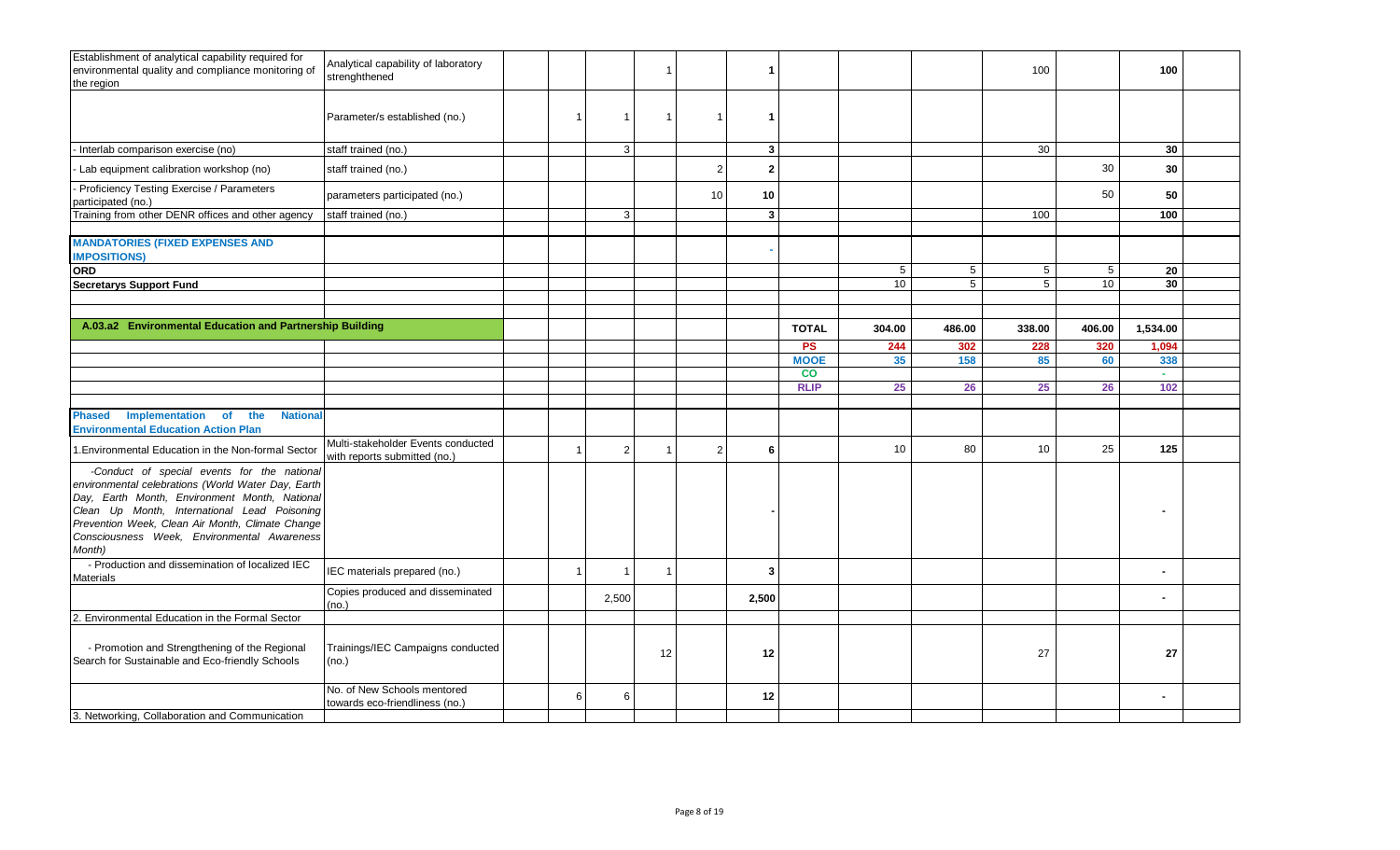| Establishment of analytical capability required for<br>environmental quality and compliance monitoring of<br>the region                                                                                                                                                                                         | Analytical capability of laboratory<br>strenghthened               |                |                         | $\mathbf{1}$            |                | L.             |                          |                 |                 | 100             |                 | 100             |  |
|-----------------------------------------------------------------------------------------------------------------------------------------------------------------------------------------------------------------------------------------------------------------------------------------------------------------|--------------------------------------------------------------------|----------------|-------------------------|-------------------------|----------------|----------------|--------------------------|-----------------|-----------------|-----------------|-----------------|-----------------|--|
|                                                                                                                                                                                                                                                                                                                 | Parameter/s established (no.)                                      | $\overline{1}$ | -1                      | $\mathbf 1$             | $\mathbf{1}$   | -1             |                          |                 |                 |                 |                 |                 |  |
| - Interlab comparison exercise (no)                                                                                                                                                                                                                                                                             | staff trained (no.)                                                |                | 3                       |                         |                | $\mathbf{3}$   |                          |                 |                 | 30              |                 | 30              |  |
| - Lab equipment calibration workshop (no)                                                                                                                                                                                                                                                                       | staff trained (no.)                                                |                |                         |                         | $\overline{2}$ | $\mathbf{2}$   |                          |                 |                 |                 | 30              | 30              |  |
| - Proficiency Testing Exercise / Parameters<br>participated (no.)                                                                                                                                                                                                                                               | parameters participated (no.)                                      |                |                         |                         | 10             | 10             |                          |                 |                 |                 | 50              | 50              |  |
| Training from other DENR offices and other agency                                                                                                                                                                                                                                                               | staff trained (no.)                                                |                | 3                       |                         |                | 3 <sup>1</sup> |                          |                 |                 | 100             |                 | 100             |  |
| <b>MANDATORIES (FIXED EXPENSES AND</b><br><b>IMPOSITIONS)</b>                                                                                                                                                                                                                                                   |                                                                    |                |                         |                         |                |                |                          |                 |                 |                 |                 |                 |  |
| ORD                                                                                                                                                                                                                                                                                                             |                                                                    |                |                         |                         |                |                |                          | $5\phantom{.0}$ | $5\phantom{.0}$ | $5\phantom{.0}$ | $5\phantom{.0}$ | 20              |  |
| <b>Secretarys Support Fund</b>                                                                                                                                                                                                                                                                                  |                                                                    |                |                         |                         |                |                |                          | 10              | 5               | 5               | 10              | 30 <sub>o</sub> |  |
|                                                                                                                                                                                                                                                                                                                 |                                                                    |                |                         |                         |                |                |                          |                 |                 |                 |                 |                 |  |
| A.03.a2 Environmental Education and Partnership Building                                                                                                                                                                                                                                                        |                                                                    |                |                         |                         |                |                |                          |                 |                 |                 |                 |                 |  |
|                                                                                                                                                                                                                                                                                                                 |                                                                    |                |                         |                         |                |                | <b>TOTAL</b>             | 304.00          | 486.00          | 338.00          | 406.00          | 1,534.00        |  |
|                                                                                                                                                                                                                                                                                                                 |                                                                    |                |                         |                         |                |                | <b>PS</b>                | 244             | 302             | 228             | 320             | 1,094           |  |
|                                                                                                                                                                                                                                                                                                                 |                                                                    |                |                         |                         |                |                | <b>MOOE</b><br><b>CO</b> | 35              | 158             | 85              | 60              | 338<br>$\sim$   |  |
|                                                                                                                                                                                                                                                                                                                 |                                                                    |                |                         |                         |                |                | <b>RLIP</b>              | 25              | 26              | 25              | 26              | 102             |  |
|                                                                                                                                                                                                                                                                                                                 |                                                                    |                |                         |                         |                |                |                          |                 |                 |                 |                 |                 |  |
| Implementation<br><b>National</b><br><b>of</b><br>the<br><b>Phased</b><br><b>Environmental Education Action Plan</b>                                                                                                                                                                                            |                                                                    |                |                         |                         |                |                |                          |                 |                 |                 |                 |                 |  |
| 1. Environmental Education in the Non-formal Sector                                                                                                                                                                                                                                                             | Multi-stakeholder Events conducted<br>with reports submitted (no.) | $\overline{1}$ | $\overline{2}$          |                         | $\overline{2}$ | 6              |                          | 10              | 80              | 10              | 25              | 125             |  |
| -Conduct of special events for the national<br>environmental celebrations (World Water Day, Earth<br>Day, Earth Month, Environment Month, National<br>Clean Up Month, International Lead Poisoning<br>Prevention Week, Clean Air Month, Climate Change<br>Consciousness Week, Environmental Awareness<br>Month) |                                                                    |                |                         |                         |                |                |                          |                 |                 |                 |                 |                 |  |
| - Production and dissemination of localized IEC<br><b>Materials</b>                                                                                                                                                                                                                                             | IEC materials prepared (no.)                                       | $\overline{1}$ | $\overline{\mathbf{1}}$ | $\overline{\mathbf{1}}$ |                | 3              |                          |                 |                 |                 |                 |                 |  |
|                                                                                                                                                                                                                                                                                                                 | Copies produced and disseminated<br>(no.)                          |                | 2,500                   |                         |                | 2,500          |                          |                 |                 |                 |                 |                 |  |
| 2. Environmental Education in the Formal Sector                                                                                                                                                                                                                                                                 |                                                                    |                |                         |                         |                |                |                          |                 |                 |                 |                 |                 |  |
| - Promotion and Strengthening of the Regional<br>Search for Sustainable and Eco-friendly Schools                                                                                                                                                                                                                | Trainings/IEC Campaigns conducted<br>(no.)                         |                |                         | 12                      |                | 12             |                          |                 |                 | 27              |                 | 27              |  |
|                                                                                                                                                                                                                                                                                                                 | No. of New Schools mentored<br>towards eco-friendliness (no.)      | 6              | 6                       |                         |                | 12             |                          |                 |                 |                 |                 |                 |  |
| 3. Networking, Collaboration and Communication                                                                                                                                                                                                                                                                  |                                                                    |                |                         |                         |                |                |                          |                 |                 |                 |                 |                 |  |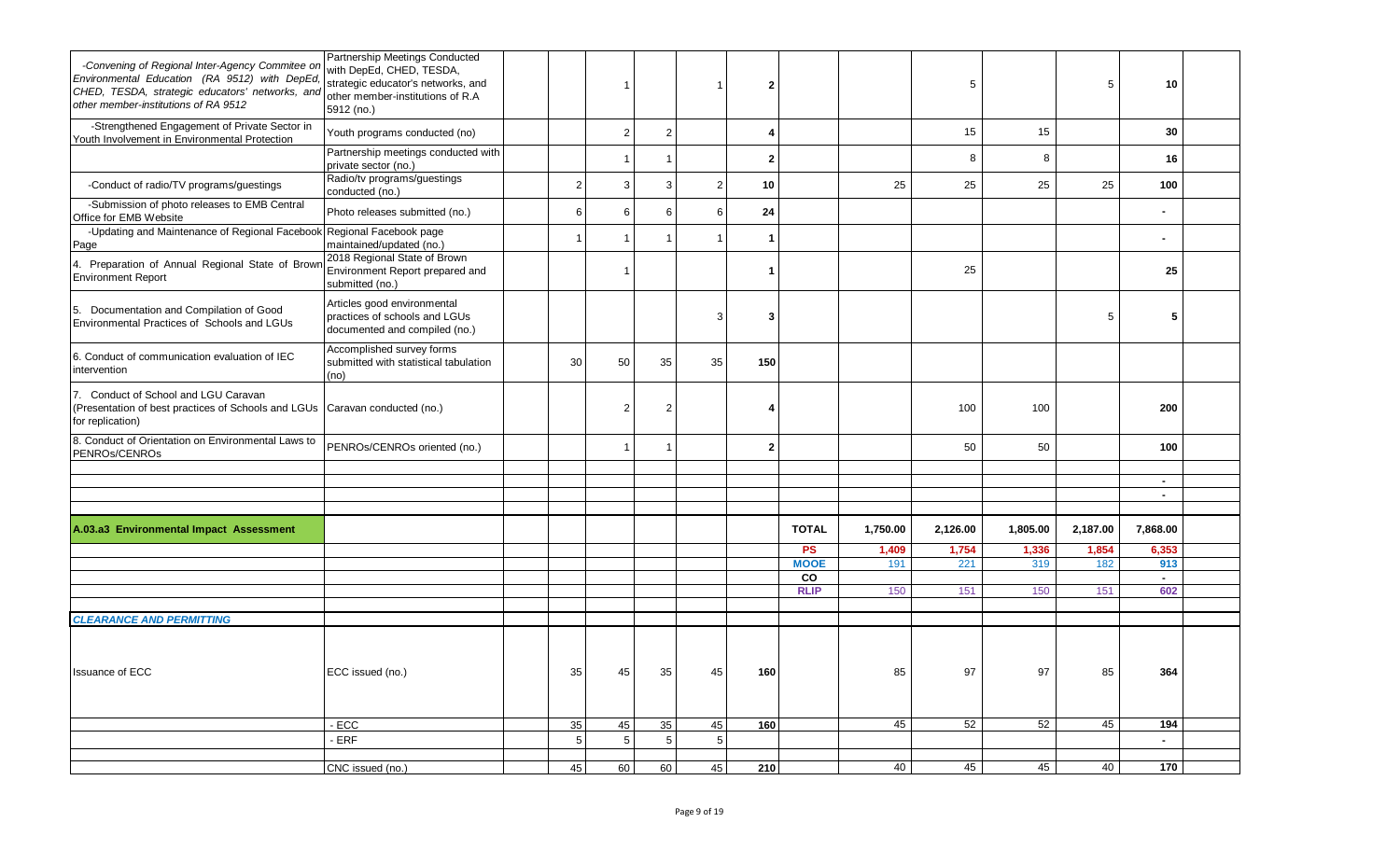| -Convening of Regional Inter-Agency Commitee on<br>Environmental Education (RA 9512) with DepEd,<br>CHED, TESDA, strategic educators' networks, and<br>other member-institutions of RA 9512 | Partnership Meetings Conducted<br>with DepEd, CHED, TESDA,<br>strategic educator's networks, and<br>other member-institutions of R.A<br>5912 (no.) |                |                |    |                |                |                   |          | 5        |          | 5        | 10            |  |
|---------------------------------------------------------------------------------------------------------------------------------------------------------------------------------------------|----------------------------------------------------------------------------------------------------------------------------------------------------|----------------|----------------|----|----------------|----------------|-------------------|----------|----------|----------|----------|---------------|--|
| -Strengthened Engagement of Private Sector in<br>Youth Involvement in Environmental Protection                                                                                              | Youth programs conducted (no)                                                                                                                      |                | $\overline{2}$ | 2  |                |                |                   |          | 15       | 15       |          | 30            |  |
|                                                                                                                                                                                             | Partnership meetings conducted with<br>private sector (no.)                                                                                        |                |                |    |                | $\overline{2}$ |                   |          | 8        | 8        |          | 16            |  |
| -Conduct of radio/TV programs/guestings                                                                                                                                                     | Radio/tv programs/guestings<br>conducted (no.)                                                                                                     | $\overline{2}$ | 3              |    | $\overline{2}$ | 10             |                   | 25       | 25       | 25       | 25       | 100           |  |
| -Submission of photo releases to EMB Central<br>Office for EMB Website                                                                                                                      | Photo releases submitted (no.)                                                                                                                     | 6              | 6              |    | 6              | 24             |                   |          |          |          |          |               |  |
| -Updating and Maintenance of Regional Facebook Regional Facebook page<br>Page                                                                                                               | maintained/updated (no.)                                                                                                                           |                |                |    |                | -1             |                   |          |          |          |          |               |  |
| 4. Preparation of Annual Regional State of Brown<br><b>Environment Report</b>                                                                                                               | 2018 Regional State of Brown<br>Environment Report prepared and<br>submitted (no.)                                                                 |                |                |    |                |                |                   |          | 25       |          |          | 25            |  |
| Documentation and Compilation of Good<br>5.<br>Environmental Practices of Schools and LGUs                                                                                                  | Articles good environmental<br>practices of schools and LGUs<br>documented and compiled (no.)                                                      |                |                |    | 3              |                |                   |          |          |          | 5        | 5             |  |
| 6. Conduct of communication evaluation of IEC<br>intervention                                                                                                                               | Accomplished survey forms<br>submitted with statistical tabulation<br>(no)                                                                         | 30             | 50             | 35 | 35             | 150            |                   |          |          |          |          |               |  |
| 7. Conduct of School and LGU Caravan<br>(Presentation of best practices of Schools and LGUs Caravan conducted (no.)<br>for replication)                                                     |                                                                                                                                                    |                | $\overline{2}$ |    |                |                |                   |          | 100      | 100      |          | 200           |  |
| 8. Conduct of Orientation on Environmental Laws to<br>PENROs/CENROs                                                                                                                         | PENROs/CENROs oriented (no.)                                                                                                                       |                |                |    |                | $\mathbf{2}$   |                   |          | 50       | 50       |          | 100           |  |
|                                                                                                                                                                                             |                                                                                                                                                    |                |                |    |                |                |                   |          |          |          |          |               |  |
|                                                                                                                                                                                             |                                                                                                                                                    |                |                |    |                |                |                   |          |          |          |          | $\sim$        |  |
|                                                                                                                                                                                             |                                                                                                                                                    |                |                |    |                |                |                   |          |          |          |          |               |  |
| A.03.a3 Environmental Impact Assessment                                                                                                                                                     |                                                                                                                                                    |                |                |    |                |                | <b>TOTAL</b>      | 1,750.00 | 2,126.00 | 1,805.00 | 2,187.00 | 7,868.00      |  |
|                                                                                                                                                                                             |                                                                                                                                                    |                |                |    |                |                | <b>PS</b>         | 1,409    | 1,754    | 1,336    | 1,854    | 6,353         |  |
|                                                                                                                                                                                             |                                                                                                                                                    |                |                |    |                |                | <b>MOOE</b><br>CO | 191      | 221      | 319      | 182      | 913<br>$\sim$ |  |
|                                                                                                                                                                                             |                                                                                                                                                    |                |                |    |                |                | <b>RLIP</b>       | 150      | 151      | 150      | 151      | 602           |  |
|                                                                                                                                                                                             |                                                                                                                                                    |                |                |    |                |                |                   |          |          |          |          |               |  |
| <b>CLEARANCE AND PERMITTING</b>                                                                                                                                                             |                                                                                                                                                    |                |                |    |                |                |                   |          |          |          |          |               |  |
|                                                                                                                                                                                             |                                                                                                                                                    |                |                |    |                |                |                   |          |          |          |          |               |  |
| <b>Issuance of ECC</b>                                                                                                                                                                      | ECC issued (no.)                                                                                                                                   | 35             | 45             | 35 | 45             | 160            |                   | 85       | 97       | 97       | 85       | 364           |  |
|                                                                                                                                                                                             | $-ECC$                                                                                                                                             | 35             | 45             | 35 | 45             | 160            |                   | 45       | 52       | 52       | 45       | 194           |  |
|                                                                                                                                                                                             | - ERF                                                                                                                                              | 5              | 5              | 5  | 5              |                |                   |          |          |          |          | $\sim$        |  |
|                                                                                                                                                                                             | CNC issued (no.)                                                                                                                                   | 45             | 60             | 60 | 45             | 210            |                   | 40       | 45       | 45       | 40       | 170           |  |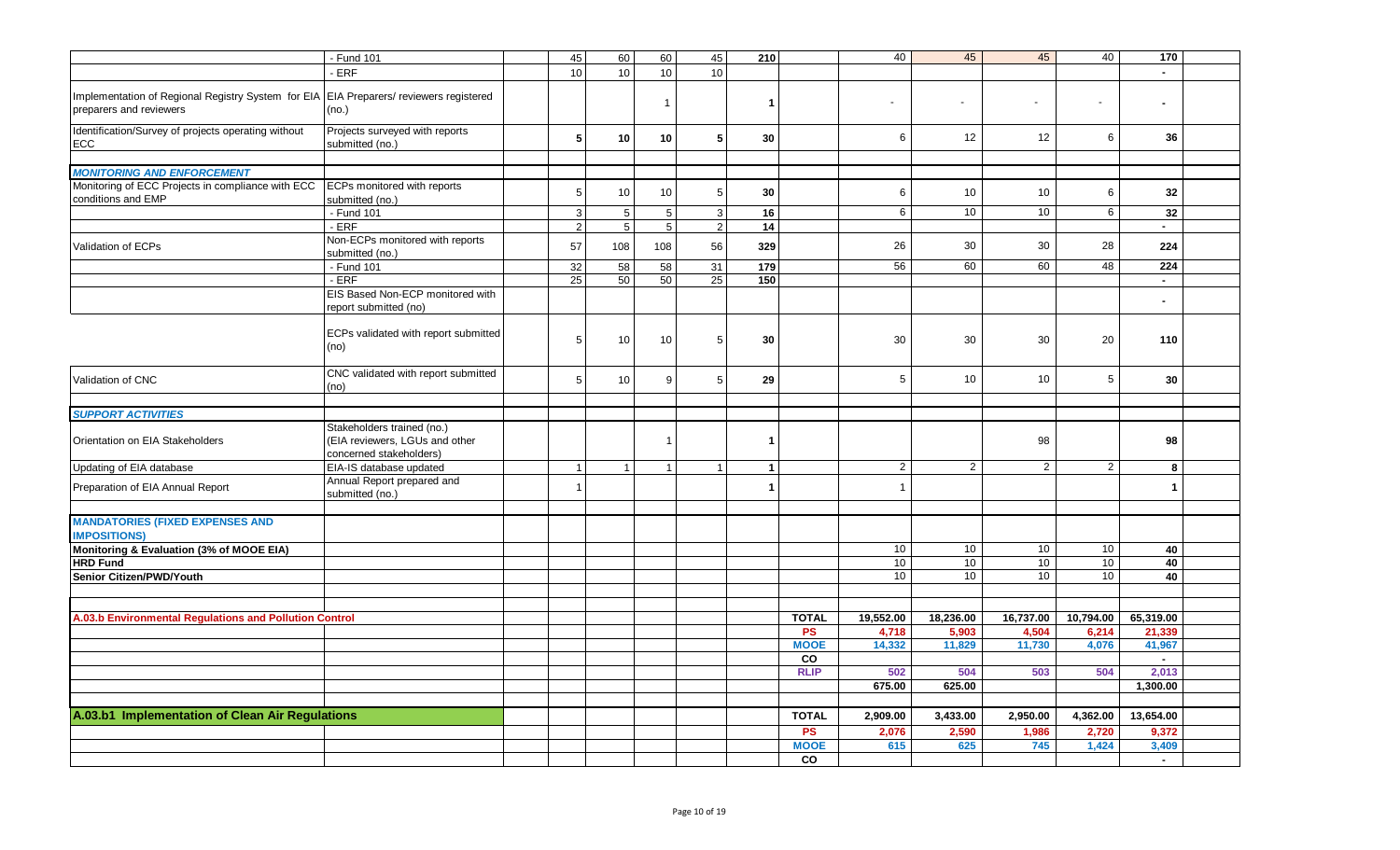| 45<br>60<br>40<br>45<br>40<br>- Fund 101<br>45<br>60<br>45<br>210<br>170<br>ERF<br>$10$<br>10<br>10<br>10<br>Implementation of Regional Registry System for EIA EIA Preparers/ reviewers registered<br>$\mathbf{1}$<br>-1<br>$\blacksquare$<br>$\overline{\phantom{a}}$<br>preparers and reviewers<br>(no.)<br>Identification/Survey of projects operating without<br>Projects surveyed with reports<br>6<br>5<br>10<br>10<br>5<br>6<br>12<br>12<br>36<br>30<br>submitted (no.)<br><b>ECC</b><br><b>MONITORING AND ENFORCEMENT</b><br>Monitoring of ECC Projects in compliance with ECC<br><b>ECPs monitored with reports</b><br>$\sqrt{5}$<br>10<br>10<br>$\sqrt{5}$<br>30<br>10<br>10<br>6<br>32<br>6<br>conditions and EMP<br>submitted (no.)<br>$5\phantom{.0}$<br>6<br>10<br>10 <sup>1</sup><br>6<br>32<br>- Fund 101<br>$\sqrt{3}$<br>$\sqrt{5}$<br>$\sqrt{3}$<br>16<br>ERF<br>$\sqrt{2}$<br>$\sqrt{5}$<br>$5\phantom{.}$<br>$\overline{2}$<br>14<br>$\sim$<br>Non-ECPs monitored with reports<br>26<br>30<br>28<br>57<br>56<br>30<br>Validation of ECPs<br>108<br>108<br>329<br>224<br>submitted (no.)<br>58<br>56<br>60<br>60<br>48<br>- Fund 101<br>32<br>58<br>31<br>179<br>224<br>- ERF<br>25<br>50<br>50<br>25<br>150<br>$\sim$<br>EIS Based Non-ECP monitored with<br>report submitted (no) |
|----------------------------------------------------------------------------------------------------------------------------------------------------------------------------------------------------------------------------------------------------------------------------------------------------------------------------------------------------------------------------------------------------------------------------------------------------------------------------------------------------------------------------------------------------------------------------------------------------------------------------------------------------------------------------------------------------------------------------------------------------------------------------------------------------------------------------------------------------------------------------------------------------------------------------------------------------------------------------------------------------------------------------------------------------------------------------------------------------------------------------------------------------------------------------------------------------------------------------------------------------------------------------------------------------------|
|                                                                                                                                                                                                                                                                                                                                                                                                                                                                                                                                                                                                                                                                                                                                                                                                                                                                                                                                                                                                                                                                                                                                                                                                                                                                                                          |
|                                                                                                                                                                                                                                                                                                                                                                                                                                                                                                                                                                                                                                                                                                                                                                                                                                                                                                                                                                                                                                                                                                                                                                                                                                                                                                          |
|                                                                                                                                                                                                                                                                                                                                                                                                                                                                                                                                                                                                                                                                                                                                                                                                                                                                                                                                                                                                                                                                                                                                                                                                                                                                                                          |
|                                                                                                                                                                                                                                                                                                                                                                                                                                                                                                                                                                                                                                                                                                                                                                                                                                                                                                                                                                                                                                                                                                                                                                                                                                                                                                          |
|                                                                                                                                                                                                                                                                                                                                                                                                                                                                                                                                                                                                                                                                                                                                                                                                                                                                                                                                                                                                                                                                                                                                                                                                                                                                                                          |
|                                                                                                                                                                                                                                                                                                                                                                                                                                                                                                                                                                                                                                                                                                                                                                                                                                                                                                                                                                                                                                                                                                                                                                                                                                                                                                          |
|                                                                                                                                                                                                                                                                                                                                                                                                                                                                                                                                                                                                                                                                                                                                                                                                                                                                                                                                                                                                                                                                                                                                                                                                                                                                                                          |
|                                                                                                                                                                                                                                                                                                                                                                                                                                                                                                                                                                                                                                                                                                                                                                                                                                                                                                                                                                                                                                                                                                                                                                                                                                                                                                          |
|                                                                                                                                                                                                                                                                                                                                                                                                                                                                                                                                                                                                                                                                                                                                                                                                                                                                                                                                                                                                                                                                                                                                                                                                                                                                                                          |
|                                                                                                                                                                                                                                                                                                                                                                                                                                                                                                                                                                                                                                                                                                                                                                                                                                                                                                                                                                                                                                                                                                                                                                                                                                                                                                          |
|                                                                                                                                                                                                                                                                                                                                                                                                                                                                                                                                                                                                                                                                                                                                                                                                                                                                                                                                                                                                                                                                                                                                                                                                                                                                                                          |
|                                                                                                                                                                                                                                                                                                                                                                                                                                                                                                                                                                                                                                                                                                                                                                                                                                                                                                                                                                                                                                                                                                                                                                                                                                                                                                          |
|                                                                                                                                                                                                                                                                                                                                                                                                                                                                                                                                                                                                                                                                                                                                                                                                                                                                                                                                                                                                                                                                                                                                                                                                                                                                                                          |
|                                                                                                                                                                                                                                                                                                                                                                                                                                                                                                                                                                                                                                                                                                                                                                                                                                                                                                                                                                                                                                                                                                                                                                                                                                                                                                          |
|                                                                                                                                                                                                                                                                                                                                                                                                                                                                                                                                                                                                                                                                                                                                                                                                                                                                                                                                                                                                                                                                                                                                                                                                                                                                                                          |
|                                                                                                                                                                                                                                                                                                                                                                                                                                                                                                                                                                                                                                                                                                                                                                                                                                                                                                                                                                                                                                                                                                                                                                                                                                                                                                          |
|                                                                                                                                                                                                                                                                                                                                                                                                                                                                                                                                                                                                                                                                                                                                                                                                                                                                                                                                                                                                                                                                                                                                                                                                                                                                                                          |
|                                                                                                                                                                                                                                                                                                                                                                                                                                                                                                                                                                                                                                                                                                                                                                                                                                                                                                                                                                                                                                                                                                                                                                                                                                                                                                          |
|                                                                                                                                                                                                                                                                                                                                                                                                                                                                                                                                                                                                                                                                                                                                                                                                                                                                                                                                                                                                                                                                                                                                                                                                                                                                                                          |
|                                                                                                                                                                                                                                                                                                                                                                                                                                                                                                                                                                                                                                                                                                                                                                                                                                                                                                                                                                                                                                                                                                                                                                                                                                                                                                          |
| ECPs validated with report submitted                                                                                                                                                                                                                                                                                                                                                                                                                                                                                                                                                                                                                                                                                                                                                                                                                                                                                                                                                                                                                                                                                                                                                                                                                                                                     |
| 5<br>10<br>10<br>5<br>30<br>30<br>30<br>30<br>20<br>110                                                                                                                                                                                                                                                                                                                                                                                                                                                                                                                                                                                                                                                                                                                                                                                                                                                                                                                                                                                                                                                                                                                                                                                                                                                  |
| (no)                                                                                                                                                                                                                                                                                                                                                                                                                                                                                                                                                                                                                                                                                                                                                                                                                                                                                                                                                                                                                                                                                                                                                                                                                                                                                                     |
| CNC validated with report submitted                                                                                                                                                                                                                                                                                                                                                                                                                                                                                                                                                                                                                                                                                                                                                                                                                                                                                                                                                                                                                                                                                                                                                                                                                                                                      |
| Validation of CNC<br>5<br>10<br>5<br>29<br>5<br>10<br>10 <sup>°</sup><br>5<br>30<br>9                                                                                                                                                                                                                                                                                                                                                                                                                                                                                                                                                                                                                                                                                                                                                                                                                                                                                                                                                                                                                                                                                                                                                                                                                    |
| (no)                                                                                                                                                                                                                                                                                                                                                                                                                                                                                                                                                                                                                                                                                                                                                                                                                                                                                                                                                                                                                                                                                                                                                                                                                                                                                                     |
|                                                                                                                                                                                                                                                                                                                                                                                                                                                                                                                                                                                                                                                                                                                                                                                                                                                                                                                                                                                                                                                                                                                                                                                                                                                                                                          |
| <b>SUPPORT ACTIVITIES</b>                                                                                                                                                                                                                                                                                                                                                                                                                                                                                                                                                                                                                                                                                                                                                                                                                                                                                                                                                                                                                                                                                                                                                                                                                                                                                |
| Stakeholders trained (no.)                                                                                                                                                                                                                                                                                                                                                                                                                                                                                                                                                                                                                                                                                                                                                                                                                                                                                                                                                                                                                                                                                                                                                                                                                                                                               |
| Orientation on EIA Stakeholders<br>(EIA reviewers, LGUs and other<br>98<br>98<br>$\mathbf{1}$<br>-1                                                                                                                                                                                                                                                                                                                                                                                                                                                                                                                                                                                                                                                                                                                                                                                                                                                                                                                                                                                                                                                                                                                                                                                                      |
| concerned stakeholders)                                                                                                                                                                                                                                                                                                                                                                                                                                                                                                                                                                                                                                                                                                                                                                                                                                                                                                                                                                                                                                                                                                                                                                                                                                                                                  |
| EIA-IS database updated<br>$\overline{2}$<br>$\overline{2}$<br>Updating of EIA database<br>$\mathbf{1}$<br>2<br>$\overline{2}$<br>8<br>$\overline{1}$<br>$\overline{1}$<br>$\mathbf{1}$<br>$\overline{1}$                                                                                                                                                                                                                                                                                                                                                                                                                                                                                                                                                                                                                                                                                                                                                                                                                                                                                                                                                                                                                                                                                                |
| Annual Report prepared and<br>Preparation of EIA Annual Report<br>$\mathbf{1}$<br>$\overline{1}$<br>-1                                                                                                                                                                                                                                                                                                                                                                                                                                                                                                                                                                                                                                                                                                                                                                                                                                                                                                                                                                                                                                                                                                                                                                                                   |
| submitted (no.)                                                                                                                                                                                                                                                                                                                                                                                                                                                                                                                                                                                                                                                                                                                                                                                                                                                                                                                                                                                                                                                                                                                                                                                                                                                                                          |
|                                                                                                                                                                                                                                                                                                                                                                                                                                                                                                                                                                                                                                                                                                                                                                                                                                                                                                                                                                                                                                                                                                                                                                                                                                                                                                          |
| <b>MANDATORIES (FIXED EXPENSES AND</b>                                                                                                                                                                                                                                                                                                                                                                                                                                                                                                                                                                                                                                                                                                                                                                                                                                                                                                                                                                                                                                                                                                                                                                                                                                                                   |
| <b>IMPOSITIONS)</b>                                                                                                                                                                                                                                                                                                                                                                                                                                                                                                                                                                                                                                                                                                                                                                                                                                                                                                                                                                                                                                                                                                                                                                                                                                                                                      |
| Monitoring & Evaluation (3% of MOOE EIA)<br>10<br>10<br>10 <sup>1</sup><br>10<br>40                                                                                                                                                                                                                                                                                                                                                                                                                                                                                                                                                                                                                                                                                                                                                                                                                                                                                                                                                                                                                                                                                                                                                                                                                      |
| 10<br>10<br>$\overline{10}$<br>10<br><b>HRD Fund</b><br>40                                                                                                                                                                                                                                                                                                                                                                                                                                                                                                                                                                                                                                                                                                                                                                                                                                                                                                                                                                                                                                                                                                                                                                                                                                               |
| 10<br>10<br>10 <sup>1</sup><br>10 <sup>1</sup><br>40<br>Senior Citizen/PWD/Youth                                                                                                                                                                                                                                                                                                                                                                                                                                                                                                                                                                                                                                                                                                                                                                                                                                                                                                                                                                                                                                                                                                                                                                                                                         |
|                                                                                                                                                                                                                                                                                                                                                                                                                                                                                                                                                                                                                                                                                                                                                                                                                                                                                                                                                                                                                                                                                                                                                                                                                                                                                                          |
|                                                                                                                                                                                                                                                                                                                                                                                                                                                                                                                                                                                                                                                                                                                                                                                                                                                                                                                                                                                                                                                                                                                                                                                                                                                                                                          |
| 19,552.00<br>A.03.b Environmental Regulations and Pollution Control<br><b>TOTAL</b><br>18,236.00<br>16,737.00<br>10,794.00<br>65,319.00                                                                                                                                                                                                                                                                                                                                                                                                                                                                                                                                                                                                                                                                                                                                                                                                                                                                                                                                                                                                                                                                                                                                                                  |
| <b>PS</b><br>4,718<br>5,903<br>4,504<br>6,214<br>21,339                                                                                                                                                                                                                                                                                                                                                                                                                                                                                                                                                                                                                                                                                                                                                                                                                                                                                                                                                                                                                                                                                                                                                                                                                                                  |
| <b>MOOE</b><br>14,332<br>11,829<br>11,730<br>4,076<br>41,967                                                                                                                                                                                                                                                                                                                                                                                                                                                                                                                                                                                                                                                                                                                                                                                                                                                                                                                                                                                                                                                                                                                                                                                                                                             |
| CO<br>$\sim$                                                                                                                                                                                                                                                                                                                                                                                                                                                                                                                                                                                                                                                                                                                                                                                                                                                                                                                                                                                                                                                                                                                                                                                                                                                                                             |
| 2,013<br><b>RLIP</b><br>502<br>504<br>503<br>504                                                                                                                                                                                                                                                                                                                                                                                                                                                                                                                                                                                                                                                                                                                                                                                                                                                                                                                                                                                                                                                                                                                                                                                                                                                         |
| 675.00<br>625.00<br>1,300.00                                                                                                                                                                                                                                                                                                                                                                                                                                                                                                                                                                                                                                                                                                                                                                                                                                                                                                                                                                                                                                                                                                                                                                                                                                                                             |
|                                                                                                                                                                                                                                                                                                                                                                                                                                                                                                                                                                                                                                                                                                                                                                                                                                                                                                                                                                                                                                                                                                                                                                                                                                                                                                          |
|                                                                                                                                                                                                                                                                                                                                                                                                                                                                                                                                                                                                                                                                                                                                                                                                                                                                                                                                                                                                                                                                                                                                                                                                                                                                                                          |
| A.03.b1 Implementation of Clean Air Regulations<br><b>TOTAL</b><br>2,909.00<br>3,433.00<br>2,950.00<br>4,362.00<br>13,654.00                                                                                                                                                                                                                                                                                                                                                                                                                                                                                                                                                                                                                                                                                                                                                                                                                                                                                                                                                                                                                                                                                                                                                                             |
| <b>PS</b><br>2,076<br>2,590<br>1,986<br>2,720<br>9,372                                                                                                                                                                                                                                                                                                                                                                                                                                                                                                                                                                                                                                                                                                                                                                                                                                                                                                                                                                                                                                                                                                                                                                                                                                                   |
| <b>MOOE</b><br>3,409<br>615<br>625<br>745<br>1,424                                                                                                                                                                                                                                                                                                                                                                                                                                                                                                                                                                                                                                                                                                                                                                                                                                                                                                                                                                                                                                                                                                                                                                                                                                                       |
| CO<br>$\sim$                                                                                                                                                                                                                                                                                                                                                                                                                                                                                                                                                                                                                                                                                                                                                                                                                                                                                                                                                                                                                                                                                                                                                                                                                                                                                             |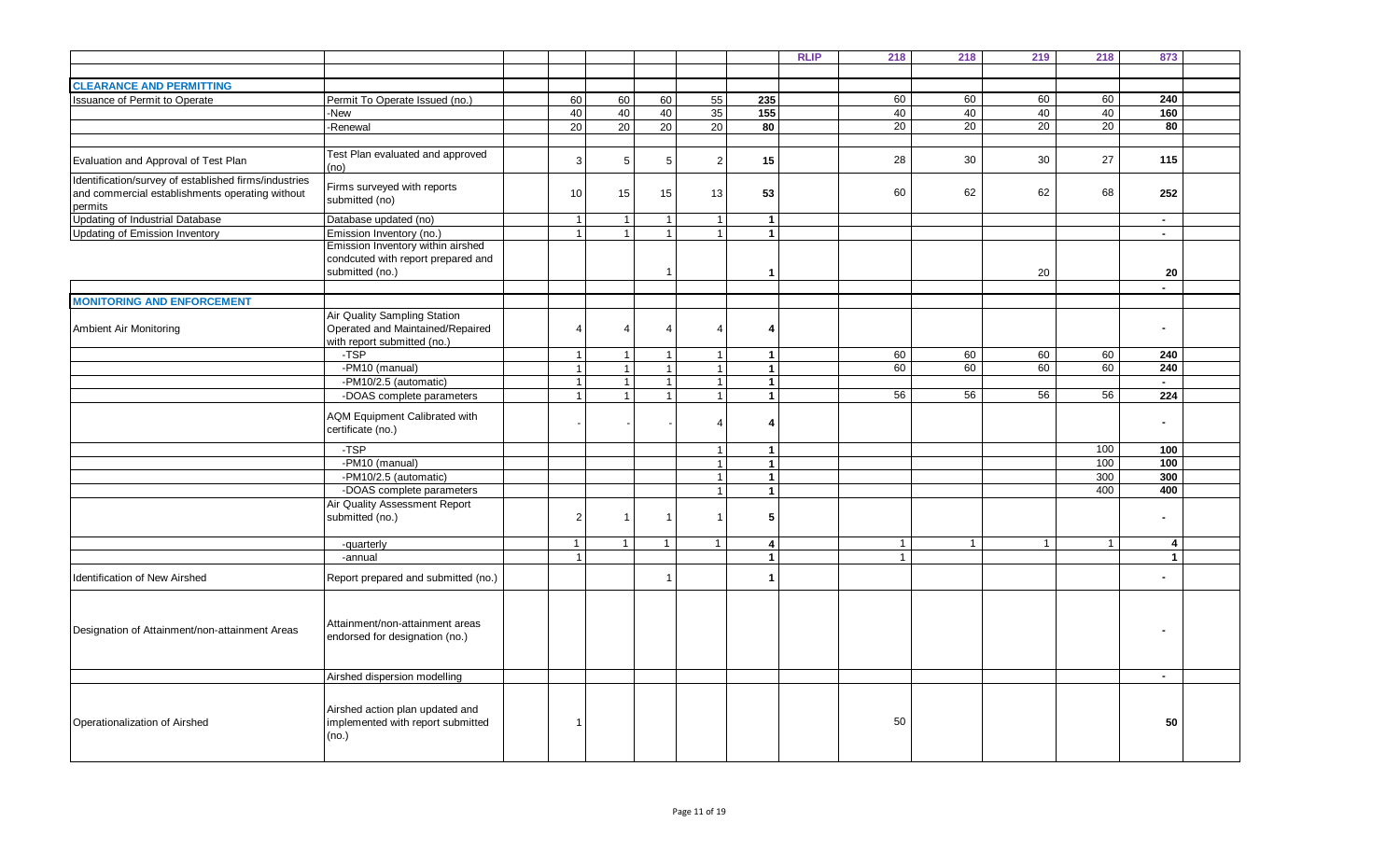|                                                       |                                      |                 |                         |                 |                       |                         | <b>RLIP</b> | 218          | 218          | 219            | 218          | 873                     |  |
|-------------------------------------------------------|--------------------------------------|-----------------|-------------------------|-----------------|-----------------------|-------------------------|-------------|--------------|--------------|----------------|--------------|-------------------------|--|
|                                                       |                                      |                 |                         |                 |                       |                         |             |              |              |                |              |                         |  |
| <b>CLEARANCE AND PERMITTING</b>                       |                                      |                 |                         |                 |                       |                         |             |              |              |                |              |                         |  |
| Issuance of Permit to Operate                         | Permit To Operate Issued (no.)       | 60 <sup>1</sup> | 60                      | 60              | 55                    | 235                     |             | 60           | 60           | 60             | 60           | 240                     |  |
|                                                       | -New                                 | 40              | 40                      | 40              | 35                    | 155                     |             | 40           | 40           | 40             | 40           | 160                     |  |
|                                                       |                                      | 20              |                         | 20              | 20                    | 80                      |             | 20           | 20           | 20             | 20           | 80                      |  |
|                                                       | -Renewal                             |                 | 20                      |                 |                       |                         |             |              |              |                |              |                         |  |
|                                                       |                                      |                 |                         |                 |                       |                         |             |              |              |                |              |                         |  |
| Evaluation and Approval of Test Plan                  | Test Plan evaluated and approved     | $\mathbf{3}$    | $\sqrt{5}$              | $5\phantom{.0}$ | $\overline{2}$        | 15                      |             | 28           | 30           | 30             | 27           | 115                     |  |
|                                                       | (no)                                 |                 |                         |                 |                       |                         |             |              |              |                |              |                         |  |
| Identification/survey of established firms/industries | Firms surveyed with reports          |                 |                         |                 |                       |                         |             |              |              |                |              |                         |  |
| and commercial establishments operating without       | submitted (no)                       | 10              | 15                      | 15              | 13                    | 53                      |             | 60           | 62           | 62             | 68           | 252                     |  |
| permits                                               |                                      |                 |                         |                 |                       |                         |             |              |              |                |              |                         |  |
| Updating of Industrial Database                       | Database updated (no)                | $\overline{1}$  | $\overline{1}$          | $\mathbf{1}$    | $\mathbf{1}$          | $\overline{1}$          |             |              |              |                |              | $\sim$                  |  |
| <b>Updating of Emission Inventory</b>                 | Emission Inventory (no.)             | $\overline{1}$  | $\overline{1}$          | $\mathbf{1}$    | $\overline{1}$        | $\mathbf{1}$            |             |              |              |                |              | $\sim$                  |  |
|                                                       | Emission Inventory within airshed    |                 |                         |                 |                       |                         |             |              |              |                |              |                         |  |
|                                                       | condcuted with report prepared and   |                 |                         |                 |                       |                         |             |              |              |                |              |                         |  |
|                                                       | submitted (no.)                      |                 |                         | -1              |                       | $\mathbf{1}$            |             |              |              | 20             |              | 20                      |  |
|                                                       |                                      |                 |                         |                 |                       |                         |             |              |              |                |              | $\blacksquare$          |  |
| <b>MONITORING AND ENFORCEMENT</b>                     |                                      |                 |                         |                 |                       |                         |             |              |              |                |              |                         |  |
|                                                       | Air Quality Sampling Station         |                 |                         |                 |                       |                         |             |              |              |                |              |                         |  |
| Ambient Air Monitoring                                | Operated and Maintained/Repaired     | $\overline{4}$  | $\overline{4}$          | Δ               | $\boldsymbol{\Delta}$ | 4                       |             |              |              |                |              | $\blacksquare$          |  |
|                                                       | with report submitted (no.)          |                 |                         |                 |                       |                         |             |              |              |                |              |                         |  |
|                                                       | -TSP                                 | $\overline{1}$  | $\overline{\mathbf{1}}$ | $\mathbf{1}$    | $\overline{1}$        | $\overline{1}$          |             | 60           | 60           | 60             | 60           | 240                     |  |
|                                                       | -PM10 (manual)                       | $\overline{1}$  | $\overline{1}$          | 1               | $\overline{1}$        | $\mathbf{1}$            |             | 60           | 60           | 60             | 60           | 240                     |  |
|                                                       | -PM10/2.5 (automatic)                | $\overline{1}$  | $\overline{1}$          | $\mathbf{1}$    | $\mathbf{1}$          | $\overline{1}$          |             |              |              |                |              | $\sim$                  |  |
|                                                       | -DOAS complete parameters            | $\overline{1}$  | $\overline{1}$          | $\mathbf{1}$    | $\overline{1}$        | $\blacktriangleleft$    |             | 56           | 56           | 56             | 56           | 224                     |  |
|                                                       |                                      |                 |                         |                 |                       |                         |             |              |              |                |              |                         |  |
|                                                       | <b>AQM Equipment Calibrated with</b> |                 |                         |                 | $\boldsymbol{\Delta}$ | $\overline{4}$          |             |              |              |                |              | $\blacksquare$          |  |
|                                                       | certificate (no.)                    |                 |                         |                 |                       |                         |             |              |              |                |              |                         |  |
|                                                       | $-TSP$                               |                 |                         |                 |                       |                         |             |              |              |                |              | 100                     |  |
|                                                       |                                      |                 |                         |                 | $\overline{1}$        | $\mathbf{1}$            |             |              |              |                | 100          |                         |  |
|                                                       | -PM10 (manual)                       |                 |                         |                 | $\mathbf{1}$          | $\mathbf{1}$            |             |              |              |                | 100          | 100                     |  |
|                                                       | -PM10/2.5 (automatic)                |                 |                         |                 | $\overline{1}$        | $\blacktriangleleft$    |             |              |              |                | 300          | 300                     |  |
|                                                       | -DOAS complete parameters            |                 |                         |                 | $\overline{1}$        | $\mathbf{1}$            |             |              |              |                | 400          | 400                     |  |
|                                                       | <b>Air Quality Assessment Report</b> |                 |                         |                 |                       |                         |             |              |              |                |              |                         |  |
|                                                       | submitted (no.)                      | $\overline{2}$  | $\overline{\mathbf{1}}$ |                 | $\blacktriangleleft$  | 5                       |             |              |              |                |              | $\blacksquare$          |  |
|                                                       |                                      |                 |                         |                 |                       |                         |             |              |              |                |              |                         |  |
|                                                       | -quarterly                           | $\mathbf{1}$    | $\overline{1}$          | $\mathbf{1}$    | 1                     | $\overline{\mathbf{4}}$ |             | $\mathbf{1}$ | $\mathbf{1}$ | $\overline{1}$ | $\mathbf{1}$ | $\overline{\mathbf{4}}$ |  |
|                                                       | -annual                              | $\overline{1}$  |                         |                 |                       | $\blacktriangleleft$    |             | $\mathbf{1}$ |              |                |              | $\overline{1}$          |  |
| <b>Identification of New Airshed</b>                  | Report prepared and submitted (no.)  |                 |                         |                 |                       | $\overline{1}$          |             |              |              |                |              |                         |  |
|                                                       |                                      |                 |                         |                 |                       |                         |             |              |              |                |              |                         |  |
|                                                       |                                      |                 |                         |                 |                       |                         |             |              |              |                |              |                         |  |
|                                                       |                                      |                 |                         |                 |                       |                         |             |              |              |                |              |                         |  |
| Designation of Attainment/non-attainment Areas        | Attainment/non-attainment areas      |                 |                         |                 |                       |                         |             |              |              |                |              |                         |  |
|                                                       | endorsed for designation (no.)       |                 |                         |                 |                       |                         |             |              |              |                |              |                         |  |
|                                                       |                                      |                 |                         |                 |                       |                         |             |              |              |                |              |                         |  |
|                                                       |                                      |                 |                         |                 |                       |                         |             |              |              |                |              |                         |  |
|                                                       | Airshed dispersion modelling         |                 |                         |                 |                       |                         |             |              |              |                |              | $\sim$                  |  |
|                                                       |                                      |                 |                         |                 |                       |                         |             |              |              |                |              |                         |  |
|                                                       | Airshed action plan updated and      |                 |                         |                 |                       |                         |             |              |              |                |              |                         |  |
| Operationalization of Airshed                         | implemented with report submitted    | $\overline{1}$  |                         |                 |                       |                         |             | 50           |              |                |              | 50                      |  |
|                                                       | (no.)                                |                 |                         |                 |                       |                         |             |              |              |                |              |                         |  |
|                                                       |                                      |                 |                         |                 |                       |                         |             |              |              |                |              |                         |  |
|                                                       |                                      |                 |                         |                 |                       |                         |             |              |              |                |              |                         |  |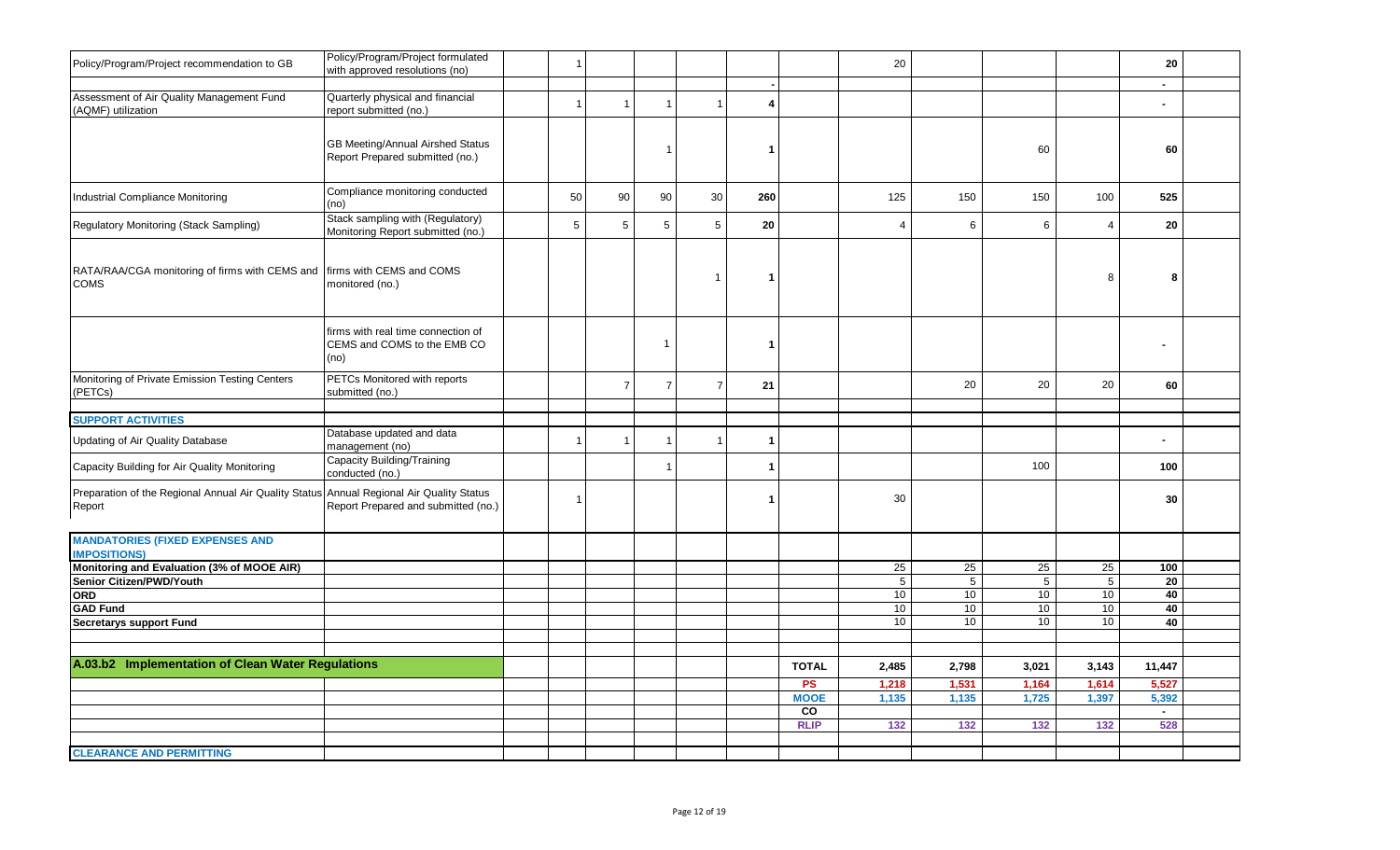| Policy/Program/Project recommendation to GB                                                        | Policy/Program/Project formulated<br>with approved resolutions (no)       | $\overline{1}$ |                         |                |                |              |                   | 20                    |                |                       |                       | 20<br>$\sim$  |  |
|----------------------------------------------------------------------------------------------------|---------------------------------------------------------------------------|----------------|-------------------------|----------------|----------------|--------------|-------------------|-----------------------|----------------|-----------------------|-----------------------|---------------|--|
| Assessment of Air Quality Management Fund<br>(AQMF) utilization                                    | Quarterly physical and financial<br>report submitted (no.)                | $\overline{1}$ | $\overline{1}$          | $\mathbf{1}$   | $\overline{1}$ | 4            |                   |                       |                |                       |                       | $\sim$        |  |
|                                                                                                    | GB Meeting/Annual Airshed Status<br>Report Prepared submitted (no.)       |                |                         | -1             |                | r.           |                   |                       |                | 60                    |                       | 60            |  |
| Industrial Compliance Monitoring                                                                   | Compliance monitoring conducted<br>(no)                                   | 50             | 90                      | 90             | 30             | 260          |                   | 125                   | 150            | 150                   | 100                   | 525           |  |
| Regulatory Monitoring (Stack Sampling)                                                             | Stack sampling with (Regulatory)<br>Monitoring Report submitted (no.)     | 5              | 5                       | 5              | 5              | 20           |                   | $\overline{4}$        | 6              | 6                     | $\overline{4}$        | 20            |  |
| RATA/RAA/CGA monitoring of firms with CEMS and firms with CEMS and COMS<br><b>COMS</b>             | monitored (no.)                                                           |                |                         |                | $\mathbf{1}$   | -1           |                   |                       |                |                       | 8                     | 8             |  |
|                                                                                                    | firms with real time connection of<br>CEMS and COMS to the EMB CO<br>(no) |                |                         | $\overline{1}$ |                | -1           |                   |                       |                |                       |                       |               |  |
| Monitoring of Private Emission Testing Centers<br>(PETCs)                                          | PETCs Monitored with reports<br>submitted (no.)                           |                | $\overline{7}$          | $\overline{7}$ | $\overline{7}$ | 21           |                   |                       | 20             | 20                    | 20                    | 60            |  |
|                                                                                                    |                                                                           |                |                         |                |                |              |                   |                       |                |                       |                       |               |  |
| <b>SUPPORT ACTIVITIES</b>                                                                          | Database updated and data                                                 |                |                         |                |                |              |                   |                       |                |                       |                       |               |  |
| Updating of Air Quality Database                                                                   | management (no)                                                           | $\overline{1}$ | $\overline{\mathbf{1}}$ |                | -1             | -1           |                   |                       |                |                       |                       |               |  |
| Capacity Building for Air Quality Monitoring                                                       | Capacity Building/Training<br>conducted (no.)                             |                |                         | $\mathbf{1}$   |                | $\mathbf{1}$ |                   |                       |                | 100                   |                       | 100           |  |
| Preparation of the Regional Annual Air Quality Status Annual Regional Air Quality Status<br>Report | Report Prepared and submitted (no.)                                       | $\overline{1}$ |                         |                |                | -1           |                   | 30                    |                |                       |                       | 30            |  |
| <b>MANDATORIES (FIXED EXPENSES AND</b><br><b>IMPOSITIONS)</b>                                      |                                                                           |                |                         |                |                |              |                   |                       |                |                       |                       |               |  |
| Monitoring and Evaluation (3% of MOOE AIR)                                                         |                                                                           |                |                         |                |                |              |                   | 25                    | 25             | 25                    | 25                    | 100           |  |
| Senior Citizen/PWD/Youth                                                                           |                                                                           |                |                         |                |                |              |                   | $\overline{5}$        | $\overline{5}$ | $\overline{5}$        | $\overline{5}$        | 20            |  |
| <b>ORD</b>                                                                                         |                                                                           |                |                         |                |                |              |                   | 10                    | 10             | 10 <sup>1</sup>       | 10                    | 40            |  |
| <b>GAD Fund</b>                                                                                    |                                                                           |                |                         |                |                |              |                   | 10 <sup>1</sup><br>10 | 10<br>10       | 10<br>10 <sup>1</sup> | 10 <sup>1</sup><br>10 | 40<br>40      |  |
| <b>Secretarys support Fund</b>                                                                     |                                                                           |                |                         |                |                |              |                   |                       |                |                       |                       |               |  |
|                                                                                                    |                                                                           |                |                         |                |                |              |                   |                       |                |                       |                       |               |  |
| A.03.b2 Implementation of Clean Water Regulations                                                  |                                                                           |                |                         |                |                |              | <b>TOTAL</b>      | 2,485                 | 2,798          | 3,021                 | 3,143                 | 11,447        |  |
|                                                                                                    |                                                                           |                |                         |                |                |              | <b>PS</b>         | 1,218                 | 1,531          | 1,164                 | 1,614                 | 5,527         |  |
|                                                                                                    |                                                                           |                |                         |                |                |              | <b>MOOE</b>       | 1,135                 | 1,135          | 1,725                 | 1,397                 | 5,392         |  |
|                                                                                                    |                                                                           |                |                         |                |                |              | CO<br><b>RLIP</b> | 132                   | 132            | 132                   | 132                   | $\sim$<br>528 |  |
|                                                                                                    |                                                                           |                |                         |                |                |              |                   |                       |                |                       |                       |               |  |
| <b>CLEARANCE AND PERMITTING</b>                                                                    |                                                                           |                |                         |                |                |              |                   |                       |                |                       |                       |               |  |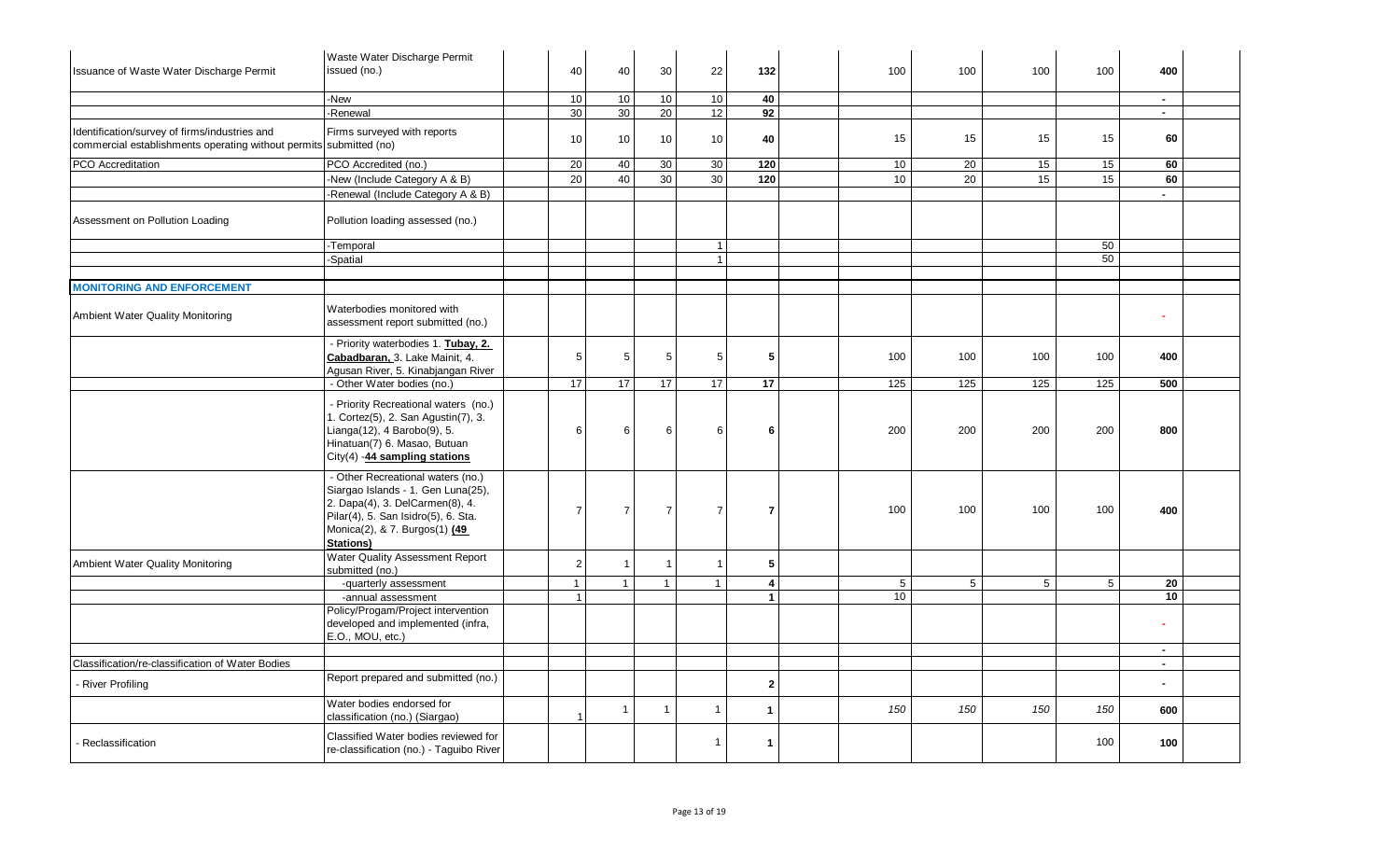| Issuance of Waste Water Discharge Permit                                                                            | Waste Water Discharge Permit<br>issued (no.)                                                                                                                                                           | 40<br>40                         | 30              | 22             | 132            | 100 | 100 | 100         | 100 | 400              |  |
|---------------------------------------------------------------------------------------------------------------------|--------------------------------------------------------------------------------------------------------------------------------------------------------------------------------------------------------|----------------------------------|-----------------|----------------|----------------|-----|-----|-------------|-----|------------------|--|
|                                                                                                                     | -New                                                                                                                                                                                                   | 10<br>10                         | 10 <sup>1</sup> | 10             | 40             |     |     |             |     | $\sim$           |  |
|                                                                                                                     | -Renewal                                                                                                                                                                                               | 30<br>30                         | 20              | 12             | 92             |     |     |             |     | $\sim$           |  |
| Identification/survey of firms/industries and<br>commercial establishments operating without permits submitted (no) | Firms surveyed with reports                                                                                                                                                                            | 10<br>10                         | $10\,$          | 10             | 40             | 15  | 15  | 15          | 15  | 60               |  |
| PCO Accreditation                                                                                                   | PCO Accredited (no.)                                                                                                                                                                                   | 20<br>40                         | 30              | 30             | 120            | 10  | 20  | 15          | 15  | 60               |  |
|                                                                                                                     | -New (Include Category A & B)                                                                                                                                                                          | 20<br>40                         | 30              | 30             | 120            | 10  | 20  | 15          | 15  | 60               |  |
|                                                                                                                     | -Renewal (Include Category A & B)                                                                                                                                                                      |                                  |                 |                |                |     |     |             |     | $\blacksquare$   |  |
| Assessment on Pollution Loading                                                                                     | Pollution loading assessed (no.)                                                                                                                                                                       |                                  |                 |                |                |     |     |             |     |                  |  |
|                                                                                                                     | -Temporal                                                                                                                                                                                              |                                  |                 | $\mathbf{1}$   |                |     |     |             | 50  |                  |  |
|                                                                                                                     | Spatial                                                                                                                                                                                                |                                  |                 | 1              |                |     |     |             | 50  |                  |  |
|                                                                                                                     |                                                                                                                                                                                                        |                                  |                 |                |                |     |     |             |     |                  |  |
| <b>MONITORING AND ENFORCEMENT</b>                                                                                   |                                                                                                                                                                                                        |                                  |                 |                |                |     |     |             |     |                  |  |
| Ambient Water Quality Monitoring                                                                                    | Waterbodies monitored with<br>assessment report submitted (no.)                                                                                                                                        |                                  |                 |                |                |     |     |             |     |                  |  |
|                                                                                                                     | - Priority waterbodies 1. Tubay, 2.<br>Cabadbaran. 3. Lake Mainit, 4.<br>Agusan River, 5. Kinabjangan River                                                                                            | 5<br>5                           | 5               | 5              | 5              | 100 | 100 | 100         | 100 | 400              |  |
|                                                                                                                     | - Other Water bodies (no.)                                                                                                                                                                             | 17<br>17                         | 17              | 17             | 17             | 125 | 125 | 125         | 125 | 500              |  |
|                                                                                                                     | - Priority Recreational waters (no.)<br>1. Cortez(5), 2. San Agustin(7), 3.<br>Lianga(12), 4 Barobo(9), 5.<br>Hinatuan(7) 6. Masao, Butuan<br>City(4) -44 sampling stations                            | 6<br>6                           | 6               | 6              | 6              | 200 | 200 | 200         | 200 | 800              |  |
|                                                                                                                     | - Other Recreational waters (no.)<br>Siargao Islands - 1. Gen Luna(25),<br>2. Dapa(4), 3. DelCarmen(8), 4.<br>Pilar(4), 5. San Isidro(5), 6. Sta.<br>Monica(2), & 7. Burgos(1) (49<br><b>Stations)</b> | $\overline{7}$<br>$\overline{7}$ | 7               | $\overline{7}$ | $\overline{7}$ | 100 | 100 | 100         | 100 | 400              |  |
| Ambient Water Quality Monitoring                                                                                    | Water Quality Assessment Report<br>submitted (no.)                                                                                                                                                     | $\overline{2}$<br>$\overline{1}$ |                 | $\overline{1}$ | 5              |     |     |             |     |                  |  |
|                                                                                                                     | -quarterly assessment                                                                                                                                                                                  | $\mathbf{1}$<br>$\mathbf{1}$     | $\overline{1}$  | $\mathbf{1}$   | $\overline{4}$ | 5   | 5   | $5^{\circ}$ | 5   | 20               |  |
|                                                                                                                     | -annual assessment                                                                                                                                                                                     | $\overline{1}$                   |                 |                | $\mathbf{1}$   | 10  |     |             |     | 10               |  |
|                                                                                                                     | Policy/Progam/Project intervention<br>developed and implemented (infra,<br>E.O., MOU, etc.)                                                                                                            |                                  |                 |                |                |     |     |             |     |                  |  |
|                                                                                                                     |                                                                                                                                                                                                        |                                  |                 |                |                |     |     |             |     | $\sim$<br>$\sim$ |  |
| Classification/re-classification of Water Bodies<br>River Profiling                                                 | Report prepared and submitted (no.)                                                                                                                                                                    |                                  |                 |                | $\overline{2}$ |     |     |             |     |                  |  |
|                                                                                                                     | Water bodies endorsed for<br>classification (no.) (Siargao)                                                                                                                                            | $\overline{1}$                   | $\overline{1}$  | 1              | 1              | 150 | 150 | 150         | 150 | 600              |  |
| Reclassification                                                                                                    | Classified Water bodies reviewed for<br>re-classification (no.) - Taguibo River                                                                                                                        |                                  |                 | 1              | -1             |     |     |             | 100 | 100              |  |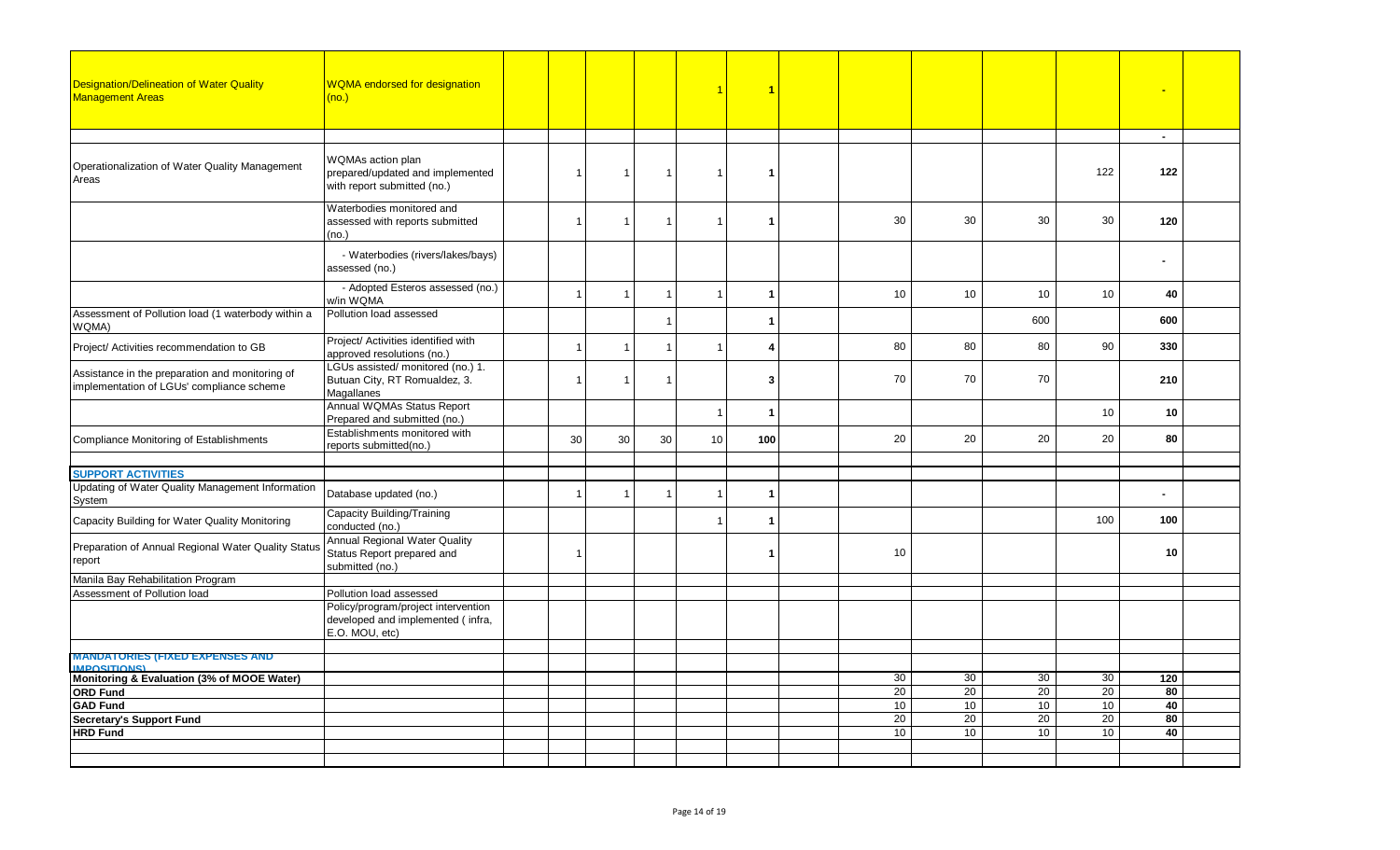| <b>Designation/Delineation of Water Quality</b><br><b>Management Areas</b>                   | <b>WQMA</b> endorsed for designation<br>(no.)                                                       |                |                         |                | $\blacktriangleleft$ | $\overline{1}$       |                 |    |                 |     |                |  |
|----------------------------------------------------------------------------------------------|-----------------------------------------------------------------------------------------------------|----------------|-------------------------|----------------|----------------------|----------------------|-----------------|----|-----------------|-----|----------------|--|
|                                                                                              |                                                                                                     |                |                         |                |                      |                      |                 |    |                 |     | $\sim$         |  |
| Operationalization of Water Quality Management<br>Areas                                      | WQMAs action plan<br>prepared/updated and implemented<br>with report submitted (no.)                | $\overline{1}$ | $\overline{1}$          | $\mathbf{1}$   | $\overline{1}$       | -1                   |                 |    |                 | 122 | 122            |  |
|                                                                                              | Waterbodies monitored and<br>assessed with reports submitted<br>(no.)                               | $\overline{1}$ | $\mathbf{1}$            | $\mathbf{1}$   | $\overline{1}$       | $\blacktriangleleft$ | 30              | 30 | 30              | 30  | 120            |  |
|                                                                                              | - Waterbodies (rivers/lakes/bays)<br>assessed (no.)                                                 |                |                         |                |                      |                      |                 |    |                 |     | $\blacksquare$ |  |
|                                                                                              | - Adopted Esteros assessed (no.)<br>w/in WQMA                                                       | $\overline{1}$ |                         |                | $\overline{1}$       | $\blacktriangleleft$ | 10              | 10 | 10              | 10  | 40             |  |
| Assessment of Pollution load (1 waterbody within a<br>WQMA)                                  | Pollution load assessed                                                                             |                |                         | $\overline{1}$ |                      | -1                   |                 |    | 600             |     | 600            |  |
| Project/ Activities recommendation to GB                                                     | Project/ Activities identified with<br>approved resolutions (no.)                                   | $\overline{1}$ | $\overline{1}$          | $\mathbf{1}$   | $\mathbf{1}$         | 4                    | 80              | 80 | 80              | 90  | 330            |  |
| Assistance in the preparation and monitoring of<br>implementation of LGUs' compliance scheme | LGUs assisted/ monitored (no.) 1.<br>Butuan City, RT Romualdez, 3.<br>Magallanes                    | $\overline{1}$ | $\overline{1}$          | $\overline{1}$ |                      | 3                    | 70              | 70 | 70              |     | 210            |  |
|                                                                                              | Annual WQMAs Status Report<br>Prepared and submitted (no.)                                          |                |                         |                | $\overline{1}$       | $\mathbf{1}$         |                 |    |                 | 10  | 10             |  |
| Compliance Monitoring of Establishments                                                      | Establishments monitored with<br>reports submitted(no.)                                             | 30             | $30\,$                  | 30             | 10                   | 100                  | 20              | 20 | 20              | 20  | 80             |  |
|                                                                                              |                                                                                                     |                |                         |                |                      |                      |                 |    |                 |     |                |  |
| <b>SUPPORT ACTIVITIES</b>                                                                    |                                                                                                     |                |                         |                |                      |                      |                 |    |                 |     |                |  |
| Updating of Water Quality Management Information<br>System                                   | Database updated (no.)                                                                              | $\overline{1}$ | $\overline{\mathbf{1}}$ |                | $\overline{1}$       | -1                   |                 |    |                 |     |                |  |
| Capacity Building for Water Quality Monitoring                                               | Capacity Building/Training<br>conducted (no.)                                                       |                |                         |                | $\overline{1}$       | $\blacktriangleleft$ |                 |    |                 | 100 | 100            |  |
| Preparation of Annual Regional Water Quality Status<br>report                                | <b>Annual Regional Water Quality</b><br>Status Report prepared and<br>submitted (no.)               | $\overline{1}$ |                         |                |                      | -4                   | 10              |    |                 |     | 10             |  |
| Manila Bay Rehabilitation Program                                                            |                                                                                                     |                |                         |                |                      |                      |                 |    |                 |     |                |  |
| Assessment of Pollution load                                                                 | Pollution load assessed<br>Policy/program/project intervention<br>developed and implemented (infra, |                |                         |                |                      |                      |                 |    |                 |     |                |  |
|                                                                                              | E.O. MOU, etc)                                                                                      |                |                         |                |                      |                      |                 |    |                 |     |                |  |
| <b>MANDATORIES (FIXED EXPENSES AND</b>                                                       |                                                                                                     |                |                         |                |                      |                      |                 |    |                 |     |                |  |
| Monitoring & Evaluation (3% of MOOE Water)                                                   |                                                                                                     |                |                         |                |                      |                      | 30              | 30 | 30              | 30  | 120            |  |
| <b>ORD Fund</b>                                                                              |                                                                                                     |                |                         |                |                      |                      | 20              | 20 | 20              | 20  | 80             |  |
| <b>GAD Fund</b>                                                                              |                                                                                                     |                |                         |                |                      |                      | 10              | 10 | 10              | 10  | 40             |  |
| <b>Secretary's Support Fund</b>                                                              |                                                                                                     |                |                         |                |                      |                      | 20              | 20 | 20              | 20  | 80             |  |
| <b>HRD Fund</b>                                                                              |                                                                                                     |                |                         |                |                      |                      | 10 <sup>1</sup> | 10 | 10 <sup>1</sup> | 10  | 40             |  |
|                                                                                              |                                                                                                     |                |                         |                |                      |                      |                 |    |                 |     |                |  |
|                                                                                              |                                                                                                     |                |                         |                |                      |                      |                 |    |                 |     |                |  |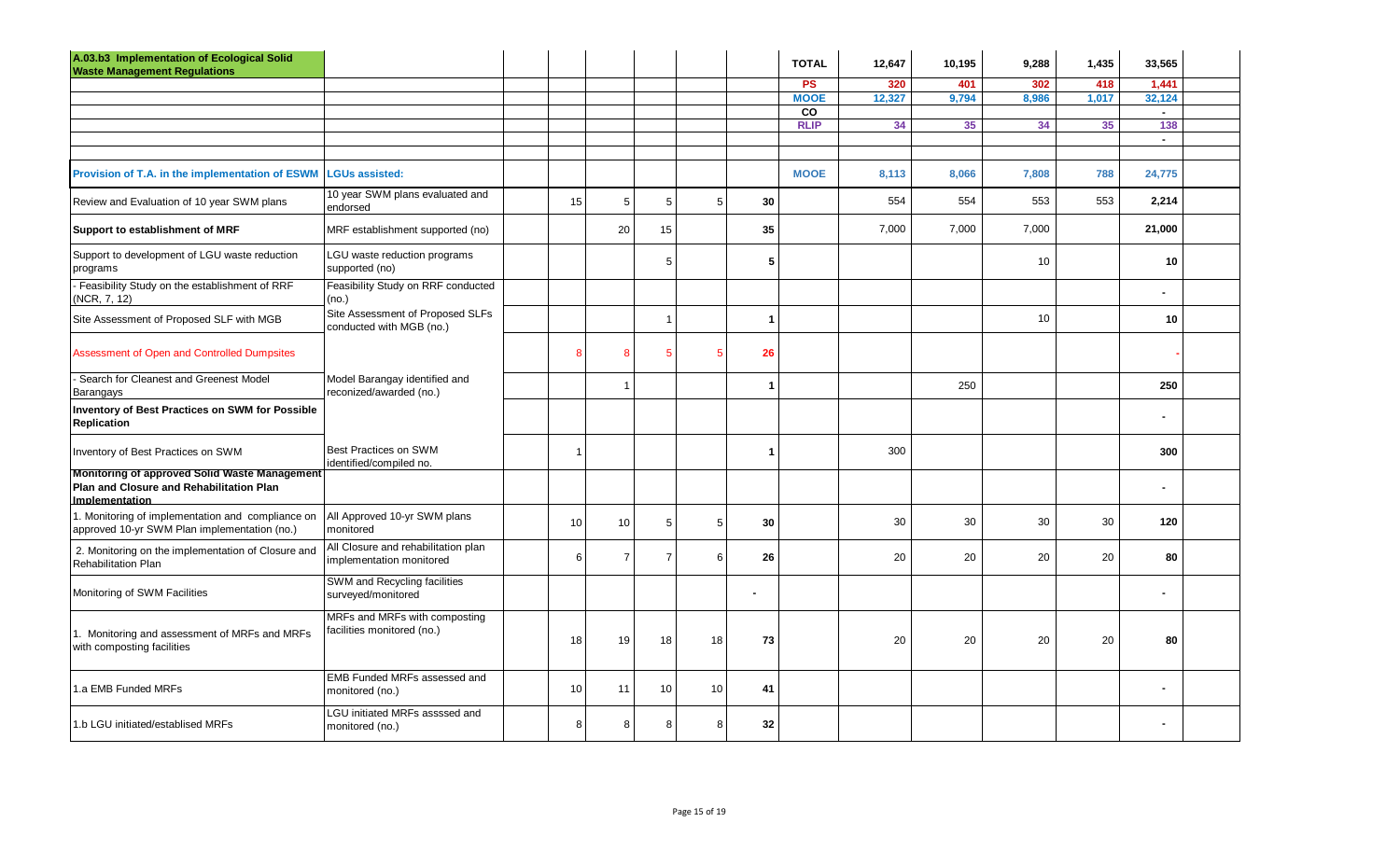| A.03.b3 Implementation of Ecological Solid<br><b>Waste Management Regulations</b>                                         |                                                                 |                  |                |                |    |                      | <b>TOTAL</b> | 12,647 | 10,195 | 9,288 | 1,435 | 33,565         |  |
|---------------------------------------------------------------------------------------------------------------------------|-----------------------------------------------------------------|------------------|----------------|----------------|----|----------------------|--------------|--------|--------|-------|-------|----------------|--|
|                                                                                                                           |                                                                 |                  |                |                |    |                      | <b>PS</b>    | 320    | 401    | 302   | 418   | 1,441          |  |
|                                                                                                                           |                                                                 |                  |                |                |    |                      | <b>MOOE</b>  | 12,327 | 9,794  | 8,986 | 1,017 | 32,124         |  |
|                                                                                                                           |                                                                 |                  |                |                |    |                      | CO           |        |        |       |       | $\sim$         |  |
|                                                                                                                           |                                                                 |                  |                |                |    |                      | <b>RLIP</b>  | 34     | 35     | 34    | 35    | 138            |  |
|                                                                                                                           |                                                                 |                  |                |                |    |                      |              |        |        |       |       | $\sim$         |  |
| Provision of T.A. in the implementation of ESWM                                                                           | <b>LGUs assisted:</b>                                           |                  |                |                |    |                      | <b>MOOE</b>  | 8,113  | 8,066  | 7,808 | 788   | 24,775         |  |
| Review and Evaluation of 10 year SWM plans                                                                                | 10 year SWM plans evaluated and<br>endorsed                     | 15               | 5              | $5\phantom{1}$ | 5  | 30                   |              | 554    | 554    | 553   | 553   | 2,214          |  |
| Support to establishment of MRF                                                                                           | MRF establishment supported (no)                                |                  | 20             | 15             |    | 35                   |              | 7,000  | 7,000  | 7,000 |       | 21,000         |  |
| Support to development of LGU waste reduction<br>programs                                                                 | LGU waste reduction programs<br>supported (no)                  |                  |                | 5              |    | 5                    |              |        |        | 10    |       | 10             |  |
| Feasibility Study on the establishment of RRF<br>(NCR, 7, 12)                                                             | Feasibility Study on RRF conducted<br>(no.)                     |                  |                |                |    |                      |              |        |        |       |       |                |  |
| Site Assessment of Proposed SLF with MGB                                                                                  | Site Assessment of Proposed SLFs<br>conducted with MGB (no.)    |                  |                | $\overline{1}$ |    | $\blacktriangleleft$ |              |        |        | 10    |       | 10             |  |
| Assessment of Open and Controlled Dumpsites                                                                               |                                                                 | 8                | 8              | -5             | 5  | 26                   |              |        |        |       |       |                |  |
| Search for Cleanest and Greenest Model<br>Barangays                                                                       | Model Barangay identified and<br>reconized/awarded (no.)        |                  | -1             |                |    | 1                    |              |        | 250    |       |       | 250            |  |
| <b>Inventory of Best Practices on SWM for Possible</b><br>Replication                                                     |                                                                 |                  |                |                |    |                      |              |        |        |       |       | ä,             |  |
| Inventory of Best Practices on SWM                                                                                        | Best Practices on SWM<br>identified/compiled no.                | $\mathbf{1}$     |                |                |    | 1                    |              | 300    |        |       |       | 300            |  |
| <b>Monitoring of approved Solid Waste Management</b><br>Plan and Closure and Rehabilitation Plan<br><b>Implementation</b> |                                                                 |                  |                |                |    |                      |              |        |        |       |       | $\blacksquare$ |  |
| 1. Monitoring of implementation and compliance on<br>approved 10-yr SWM Plan implementation (no.)                         | All Approved 10-yr SWM plans<br>monitored                       | 10               | 10             | 5              | 5  | 30                   |              | 30     | 30     | 30    | 30    | 120            |  |
| 2. Monitoring on the implementation of Closure and<br><b>Rehabilitation Plan</b>                                          | All Closure and rehabilitation plan<br>implementation monitored | $6 \overline{6}$ | $\overline{7}$ | $\overline{7}$ | 6  | 26                   |              | 20     | 20     | 20    | 20    | 80             |  |
| Monitoring of SWM Facilities                                                                                              | SWM and Recycling facilities<br>surveyed/monitored              |                  |                |                |    | $\blacksquare$       |              |        |        |       |       | $\blacksquare$ |  |
| 1. Monitoring and assessment of MRFs and MRFs<br>with composting facilities                                               | MRFs and MRFs with composting<br>facilities monitored (no.)     | 18               | 19             | 18             | 18 | 73                   |              | 20     | 20     | 20    | 20    | 80             |  |
| 1.a EMB Funded MRFs                                                                                                       | EMB Funded MRFs assessed and<br>monitored (no.)                 | 10 <sup>1</sup>  | 11             | 10             | 10 | 41                   |              |        |        |       |       | ä,             |  |
| 1.b LGU initiated/establised MRFs                                                                                         | LGU initiated MRFs assssed and<br>monitored (no.)               | 8                | 8              | 8              | 8  | 32                   |              |        |        |       |       | $\blacksquare$ |  |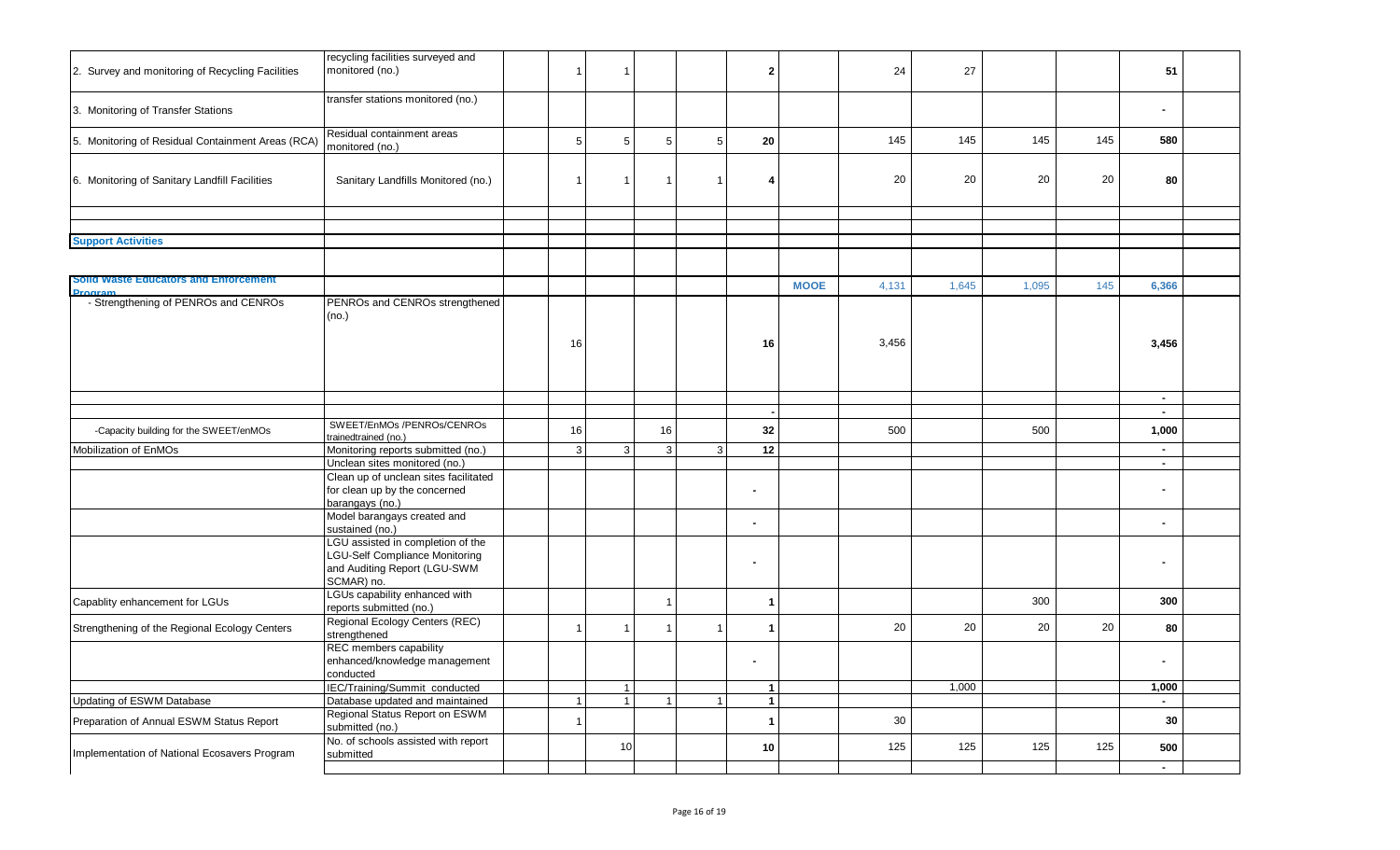| 2. Survey and monitoring of Recycling Facilities                             | recycling facilities surveyed and<br>monitored (no.)                                                                                        |              | -1                        |                |                 | $\mathbf{2}$      |             | 24    | 27    |       |     | 51               |  |
|------------------------------------------------------------------------------|---------------------------------------------------------------------------------------------------------------------------------------------|--------------|---------------------------|----------------|-----------------|-------------------|-------------|-------|-------|-------|-----|------------------|--|
| 3. Monitoring of Transfer Stations                                           | transfer stations monitored (no.)                                                                                                           |              |                           |                |                 |                   |             |       |       |       |     | ۰.               |  |
| 5. Monitoring of Residual Containment Areas (RCA)                            | Residual containment areas<br>monitored (no.)                                                                                               | 5            | 5                         | 5              | $5\phantom{.0}$ | 20                |             | 145   | 145   | 145   | 145 | 580              |  |
| 6. Monitoring of Sanitary Landfill Facilities                                | Sanitary Landfills Monitored (no.)                                                                                                          |              |                           | -1             | $\mathbf 1$     | 4                 |             | 20    | 20    | 20    | 20  | 80               |  |
|                                                                              |                                                                                                                                             |              |                           |                |                 |                   |             |       |       |       |     |                  |  |
| <b>Support Activities</b>                                                    |                                                                                                                                             |              |                           |                |                 |                   |             |       |       |       |     |                  |  |
| Solid Waste Educators and Enforcement<br><b>Program</b>                      |                                                                                                                                             |              |                           |                |                 |                   | <b>MOOE</b> | 4,131 | 1,645 | 1,095 | 145 | 6,366            |  |
| - Strengthening of PENROs and CENROs                                         | PENROs and CENROs strengthened<br>(no.)                                                                                                     | 16           |                           |                |                 | 16                |             | 3,456 |       |       |     | 3,456            |  |
|                                                                              |                                                                                                                                             |              |                           |                |                 |                   |             |       |       |       |     | $\sim$<br>$\sim$ |  |
| -Capacity building for the SWEET/enMOs                                       | SWEET/EnMOs /PENROs/CENROs<br>trainedtrained (no.)                                                                                          | 16           |                           | 16             |                 | 32                |             | 500   |       | 500   |     | 1,000            |  |
| Mobilization of EnMOs                                                        | Monitoring reports submitted (no.)                                                                                                          | $\mathbf{3}$ | 3                         | 3 <sup>1</sup> | 3               | 12                |             |       |       |       |     | $\sim$           |  |
|                                                                              | Unclean sites monitored (no.)<br>Clean up of unclean sites facilitated<br>for clean up by the concerned                                     |              |                           |                |                 | $\overline{a}$    |             |       |       |       |     | $\blacksquare$   |  |
|                                                                              | barangays (no.)<br>Model barangays created and                                                                                              |              |                           |                |                 | $\blacksquare$    |             |       |       |       |     | $\blacksquare$   |  |
|                                                                              | sustained (no.)<br>LGU assisted in completion of the<br><b>LGU-Self Compliance Monitoring</b><br>and Auditing Report (LGU-SWM<br>SCMAR) no. |              |                           |                |                 | $\blacksquare$    |             |       |       |       |     | $\blacksquare$   |  |
| Capablity enhancement for LGUs                                               | LGUs capability enhanced with<br>reports submitted (no.)                                                                                    |              |                           |                |                 | -1                |             |       |       | 300   |     | 300              |  |
| Strengthening of the Regional Ecology Centers                                | Regional Ecology Centers (REC)<br>strengthened                                                                                              |              |                           |                | $\mathbf{1}$    | 1                 |             | 20    | 20    | 20    | 20  | 80               |  |
|                                                                              | REC members capability<br>enhanced/knowledge management<br>conducted                                                                        |              |                           |                |                 |                   |             |       |       |       |     | $\blacksquare$   |  |
|                                                                              | IEC/Training/Summit conducted                                                                                                               |              | $\mathbf{1}$<br>$1 \vert$ | $\mathbf{1}$   | $\overline{1}$  | $\mathbf{1}$      |             |       | 1,000 |       |     | 1,000            |  |
| <b>Updating of ESWM Database</b><br>Preparation of Annual ESWM Status Report | Database updated and maintained<br>Regional Status Report on ESWM<br>submitted (no.)                                                        |              |                           |                |                 | $\mathbf{1}$<br>1 |             | 30    |       |       |     | $\sim$<br>30     |  |
| Implementation of National Ecosavers Program                                 | No. of schools assisted with report<br>submitted                                                                                            |              | 10                        |                |                 | 10                |             | 125   | 125   | 125   | 125 | 500              |  |
|                                                                              |                                                                                                                                             |              |                           |                |                 |                   |             |       |       |       |     | $\blacksquare$   |  |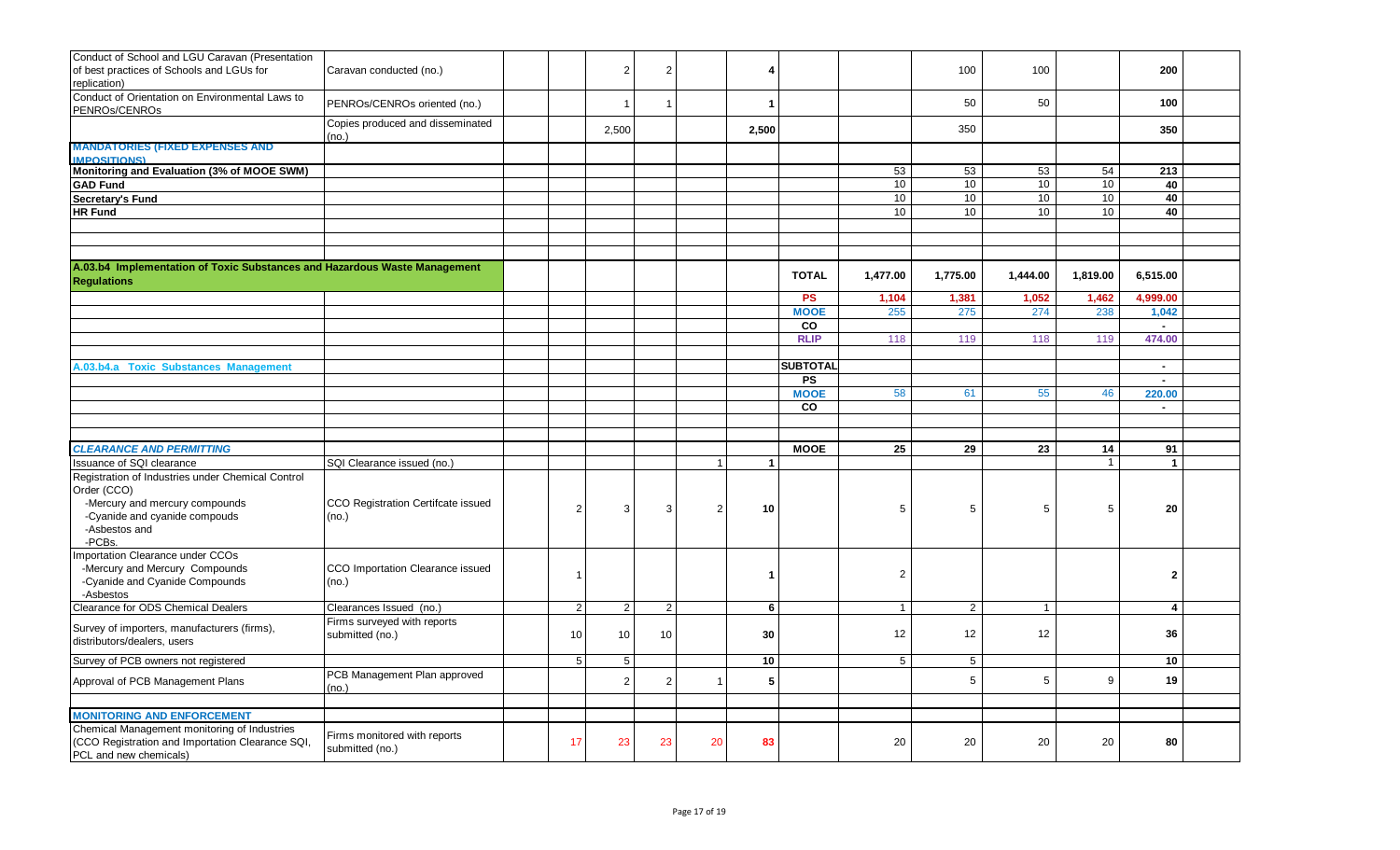| Conduct of School and LGU Caravan (Presentation<br>of best practices of Schools and LGUs for<br>replication)                                         | Caravan conducted (no.)                         |                | $\overline{2}$          |    |                | 4                    |                 |                | 100            | 100             |              | 200                  |  |
|------------------------------------------------------------------------------------------------------------------------------------------------------|-------------------------------------------------|----------------|-------------------------|----|----------------|----------------------|-----------------|----------------|----------------|-----------------|--------------|----------------------|--|
| Conduct of Orientation on Environmental Laws to<br>PENROs/CENROs                                                                                     | PENROs/CENROs oriented (no.)                    |                | $\overline{\mathbf{1}}$ |    |                | -1                   |                 |                | 50             | 50              |              | 100                  |  |
|                                                                                                                                                      | Copies produced and disseminated<br>(no.)       |                | 2,500                   |    |                | 2,500                |                 |                | 350            |                 |              | 350                  |  |
| <b>MANDATORIES (FIXED EXPENSES AND</b><br><b>IMPOSITIONS)</b>                                                                                        |                                                 |                |                         |    |                |                      |                 |                |                |                 |              |                      |  |
| Monitoring and Evaluation (3% of MOOE SWM)                                                                                                           |                                                 |                |                         |    |                |                      |                 | 53             | 53             | 53              | 54           | 213                  |  |
| <b>GAD Fund</b>                                                                                                                                      |                                                 |                |                         |    |                |                      |                 | 10             | 10             | 10              | 10           | 40                   |  |
| Secretary's Fund                                                                                                                                     |                                                 |                |                         |    |                |                      |                 | 10             | 10             | 10 <sup>1</sup> | 10           | 40                   |  |
| <b>HR Fund</b>                                                                                                                                       |                                                 |                |                         |    |                |                      |                 | 10             | 10             | 10 <sup>°</sup> | 10           | 40                   |  |
|                                                                                                                                                      |                                                 |                |                         |    |                |                      |                 |                |                |                 |              |                      |  |
|                                                                                                                                                      |                                                 |                |                         |    |                |                      |                 |                |                |                 |              |                      |  |
|                                                                                                                                                      |                                                 |                |                         |    |                |                      |                 |                |                |                 |              |                      |  |
| A.03.b4 Implementation of Toxic Substances and Hazardous Waste Management<br><b>Regulations</b>                                                      |                                                 |                |                         |    |                |                      | <b>TOTAL</b>    | 1,477.00       | 1,775.00       | 1,444.00        | 1,819.00     | 6,515.00             |  |
|                                                                                                                                                      |                                                 |                |                         |    |                |                      | <b>PS</b>       | 1,104          | 1,381          | 1,052           | 1,462        | 4,999.00             |  |
|                                                                                                                                                      |                                                 |                |                         |    |                |                      | <b>MOOE</b>     | 255            | 275            | 274             | 238          | 1,042                |  |
|                                                                                                                                                      |                                                 |                |                         |    |                |                      | CO              |                |                |                 |              | $\sim$               |  |
|                                                                                                                                                      |                                                 |                |                         |    |                |                      | <b>RLIP</b>     | 118            | 119            | 118             | 119          | 474.00               |  |
|                                                                                                                                                      |                                                 |                |                         |    |                |                      |                 |                |                |                 |              |                      |  |
| A.03.b4.a Toxic Substances Management                                                                                                                |                                                 |                |                         |    |                |                      | <b>SUBTOTAL</b> |                |                |                 |              | $\sim$               |  |
|                                                                                                                                                      |                                                 |                |                         |    |                |                      | <b>PS</b>       |                |                |                 |              | $\sim$               |  |
|                                                                                                                                                      |                                                 |                |                         |    |                |                      | <b>MOOE</b>     | 58             | 61             | 55              | 46           | 220.00               |  |
|                                                                                                                                                      |                                                 |                |                         |    |                |                      | CO              |                |                |                 |              | $\sim$               |  |
|                                                                                                                                                      |                                                 |                |                         |    |                |                      |                 |                |                |                 |              |                      |  |
|                                                                                                                                                      |                                                 |                |                         |    |                |                      |                 |                |                |                 |              |                      |  |
| <b>CLEARANCE AND PERMITTING</b>                                                                                                                      |                                                 |                |                         |    |                |                      | <b>MOOE</b>     | 25             | 29             | 23              | 14           | 91                   |  |
| Issuance of SQI clearance                                                                                                                            | SQI Clearance issued (no.)                      |                |                         |    |                | $\blacktriangleleft$ |                 |                |                |                 | $\mathbf{1}$ | $\blacktriangleleft$ |  |
| Registration of Industries under Chemical Control<br>Order (CCO)<br>-Mercury and mercury compounds<br>-Cyanide and cyanide compouds<br>-Asbestos and | CCO Registration Certifcate issued<br>(no.)     | $\overline{2}$ | 3                       | 3  | $\overline{2}$ | 10                   |                 | 5              | 5              | 5               | 5            | 20                   |  |
| -PCBs.<br>Importation Clearance under CCOs                                                                                                           |                                                 |                |                         |    |                |                      |                 |                |                |                 |              |                      |  |
| -Mercury and Mercury Compounds<br>-Cyanide and Cyanide Compounds<br>-Asbestos                                                                        | CCO Importation Clearance issued<br>(no.)       |                |                         |    |                |                      |                 | $\overline{2}$ |                |                 |              | $\mathbf{2}$         |  |
| Clearance for ODS Chemical Dealers                                                                                                                   | Clearances Issued (no.)                         | $\overline{2}$ | $\overline{2}$          | 2  |                | 6                    |                 | $\overline{1}$ | $\overline{2}$ | $\mathbf{1}$    |              | 4                    |  |
| Survey of importers, manufacturers (firms),<br>distributors/dealers, users                                                                           | Firms surveyed with reports<br>submitted (no.)  | 10             | 10                      | 10 |                | 30                   |                 | 12             | 12             | 12              |              | 36                   |  |
| Survey of PCB owners not registered                                                                                                                  |                                                 | 5              | 5                       |    |                | 10                   |                 | $\overline{5}$ | 5              |                 |              | 10                   |  |
| Approval of PCB Management Plans                                                                                                                     | PCB Management Plan approved<br>(no.)           |                | $\overline{2}$          |    |                | 5                    |                 |                | 5              | 5               | 9            | 19                   |  |
|                                                                                                                                                      |                                                 |                |                         |    |                |                      |                 |                |                |                 |              |                      |  |
| <b>MONITORING AND ENFORCEMENT</b>                                                                                                                    |                                                 |                |                         |    |                |                      |                 |                |                |                 |              |                      |  |
| Chemical Management monitoring of Industries<br>(CCO Registration and Importation Clearance SQI,<br>PCL and new chemicals)                           | Firms monitored with reports<br>submitted (no.) | 17             | 23                      | 23 | 20             | 83                   |                 | 20             | 20             | 20              | 20           | 80                   |  |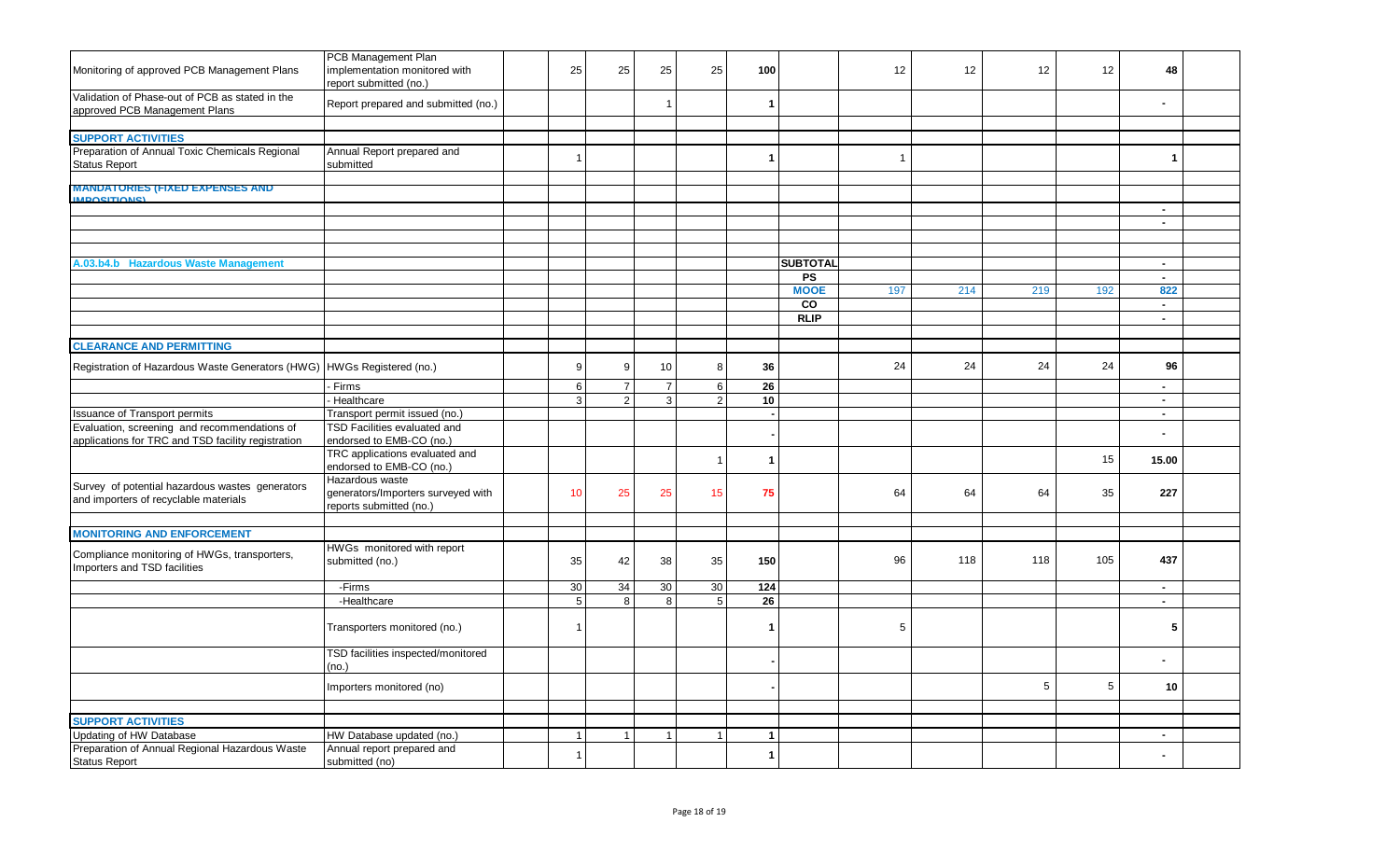| Monitoring of approved PCB Management Plans                                                        | PCB Management Plan<br>implementation monitored with<br>report submitted (no.)   | 25              | 25             | 25             | 25             | 100             |                 | 12             | 12  | 12             | 12         | 48             |  |
|----------------------------------------------------------------------------------------------------|----------------------------------------------------------------------------------|-----------------|----------------|----------------|----------------|-----------------|-----------------|----------------|-----|----------------|------------|----------------|--|
| Validation of Phase-out of PCB as stated in the<br>approved PCB Management Plans                   | Report prepared and submitted (no.)                                              |                 |                | $\overline{1}$ |                | -1              |                 |                |     |                |            |                |  |
|                                                                                                    |                                                                                  |                 |                |                |                |                 |                 |                |     |                |            |                |  |
| <b>SUPPORT ACTIVITIES</b>                                                                          |                                                                                  |                 |                |                |                |                 |                 |                |     |                |            |                |  |
| Preparation of Annual Toxic Chemicals Regional<br><b>Status Report</b>                             | Annual Report prepared and<br>submitted                                          | $\overline{1}$  |                |                |                | -1              |                 | $\overline{1}$ |     |                |            | $\mathbf{1}$   |  |
| <b>MANDATORIES (FIXED EXPENSES AND</b>                                                             |                                                                                  |                 |                |                |                |                 |                 |                |     |                |            |                |  |
| <b>MDOSITIONS</b>                                                                                  |                                                                                  |                 |                |                |                |                 |                 |                |     |                |            |                |  |
|                                                                                                    |                                                                                  |                 |                |                |                |                 |                 |                |     |                |            | $\sim$         |  |
|                                                                                                    |                                                                                  |                 |                |                |                |                 |                 |                |     |                |            | $\sim$         |  |
|                                                                                                    |                                                                                  |                 |                |                |                |                 |                 |                |     |                |            |                |  |
|                                                                                                    |                                                                                  |                 |                |                |                |                 |                 |                |     |                |            |                |  |
| A.03.b4.b Hazardous Waste Management                                                               |                                                                                  |                 |                |                |                |                 | <b>SUBTOTAL</b> |                |     |                |            |                |  |
|                                                                                                    |                                                                                  |                 |                |                |                |                 | <b>PS</b>       |                |     |                |            | $\sim$         |  |
|                                                                                                    |                                                                                  |                 |                |                |                |                 | <b>MOOE</b>     | 197            | 214 | 219            | 192        | 822            |  |
|                                                                                                    |                                                                                  |                 |                |                |                |                 | <b>CO</b>       |                |     |                |            | $\sim$         |  |
|                                                                                                    |                                                                                  |                 |                |                |                |                 | <b>RLIP</b>     |                |     |                |            | $\sim$         |  |
|                                                                                                    |                                                                                  |                 |                |                |                |                 |                 |                |     |                |            |                |  |
| <b>CLEARANCE AND PERMITTING</b>                                                                    |                                                                                  |                 |                |                |                |                 |                 |                |     |                |            |                |  |
| Registration of Hazardous Waste Generators (HWG)                                                   | HWGs Registered (no.)                                                            | 9               | 9              | $10$           | 8              | 36              |                 | 24             | 24  | 24             | 24         | 96             |  |
|                                                                                                    | Firms                                                                            | 6               | $\overline{7}$ | $\overline{7}$ | 6              | 26              |                 |                |     |                |            | $\sim$         |  |
|                                                                                                    | Healthcare                                                                       | 3               | 2              | $\mathbf{3}$   | $\mathfrak{p}$ | 10 <sup>°</sup> |                 |                |     |                |            | $\sim$         |  |
| <b>Issuance of Transport permits</b>                                                               | Transport permit issued (no.)                                                    |                 |                |                |                |                 |                 |                |     |                |            | $\sim$         |  |
| Evaluation, screening and recommendations of<br>applications for TRC and TSD facility registration | TSD Facilities evaluated and<br>endorsed to EMB-CO (no.)                         |                 |                |                |                |                 |                 |                |     |                |            |                |  |
|                                                                                                    | TRC applications evaluated and<br>endorsed to EMB-CO (no.)                       |                 |                |                | $\overline{1}$ | 1               |                 |                |     |                | 15         | 15.00          |  |
| Survey of potential hazardous wastes generators<br>and importers of recyclable materials           | Hazardous waste<br>generators/Importers surveyed with<br>reports submitted (no.) | 10 <sup>1</sup> | 25             | 25             | 15             | 75              |                 | 64             | 64  | 64             | 35         | 227            |  |
|                                                                                                    |                                                                                  |                 |                |                |                |                 |                 |                |     |                |            |                |  |
| <b>MONITORING AND ENFORCEMENT</b>                                                                  |                                                                                  |                 |                |                |                |                 |                 |                |     |                |            |                |  |
| Compliance monitoring of HWGs, transporters,<br>Importers and TSD facilities                       | HWGs monitored with report<br>submitted (no.)                                    | 35              | 42             | 38             | 35             | 150             |                 | 96             | 118 | 118            | 105        | 437            |  |
|                                                                                                    | -Firms                                                                           | 30              | 34             | 30             | 30             | 124             |                 |                |     |                |            | $\sim$         |  |
|                                                                                                    | -Healthcare                                                                      | $\sqrt{5}$      | 8              | 8              | 5              | 26              |                 |                |     |                |            | $\sim$         |  |
|                                                                                                    | Transporters monitored (no.)                                                     | -1              |                |                |                | -1              |                 | 5              |     |                |            | 5              |  |
|                                                                                                    | TSD facilities inspected/monitored<br>(no.)                                      |                 |                |                |                |                 |                 |                |     |                |            |                |  |
|                                                                                                    | Importers monitored (no)                                                         |                 |                |                |                |                 |                 |                |     | 5 <sup>5</sup> | $\sqrt{5}$ | 10             |  |
|                                                                                                    |                                                                                  |                 |                |                |                |                 |                 |                |     |                |            |                |  |
| <b>SUPPORT ACTIVITIES</b>                                                                          |                                                                                  |                 |                |                |                |                 |                 |                |     |                |            |                |  |
| Updating of HW Database                                                                            | HW Database updated (no.)                                                        | $\overline{1}$  | $\mathbf{1}$   | $\overline{1}$ | 1              | $\mathbf{1}$    |                 |                |     |                |            | $\overline{a}$ |  |
| Preparation of Annual Regional Hazardous Waste                                                     | Annual report prepared and                                                       |                 |                |                |                | -1              |                 |                |     |                |            |                |  |
| <b>Status Report</b>                                                                               | submitted (no)                                                                   | $\overline{1}$  |                |                |                |                 |                 |                |     |                |            |                |  |